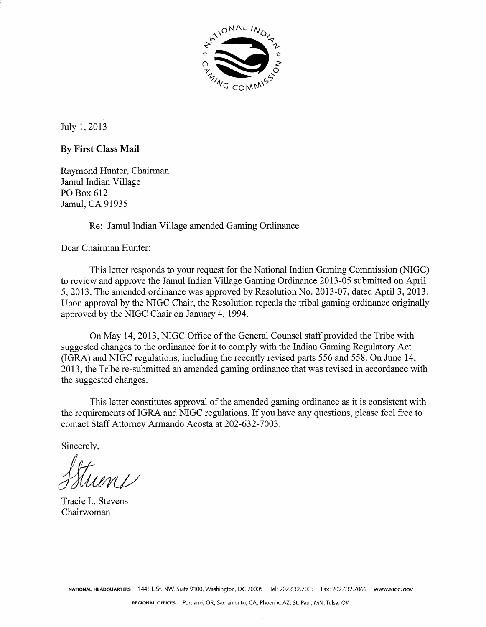

July 1,2013

#### **By First Class Mail**

Raymond Hunter, Chairman Jamul Indian Village PO Box 612 Jamul, CA 91935

Re: Jamul Indian Village amended Gaming Ordinance

Dear Chairman Hunter:

This letter responds to your request for the National Indian Gaming Commission (NIGC) to review and approve the Jamul Indian Village Gaming Ordinance 2013-05 submitted on April 5, 2013. The amended ordinance was approved by Resolution No. 2013-07, dated April 3, 2013. Upon approval by the NIGC Chair, the Resolution repeals the tribal gaming ordinance originally approved by the NIGC Chair on January 4, 1994.

On May 14, 2013, NIGC Office of the General Counsel staff provided the Tribe with suggested changes to the ordinance for it to comply with the Indian Gaming Regulatory Act (IGRA) and NIGC regulations, including the recently revised parts 556 and 558. On June 14, 20 13, the Tribe re-submitted an amended gaming ordinance that was revised in accordance with the suggested changes.

This letter constitutes approval of the amended gaming ordinance as it is consistent with the requirements of IGRA and NIGC regulations. If you have any questions, please feel free to contact Staff Attorney Armando Acosta at 202-632-7003.

Sincerely,

Tracie L. Stevens Chairwoman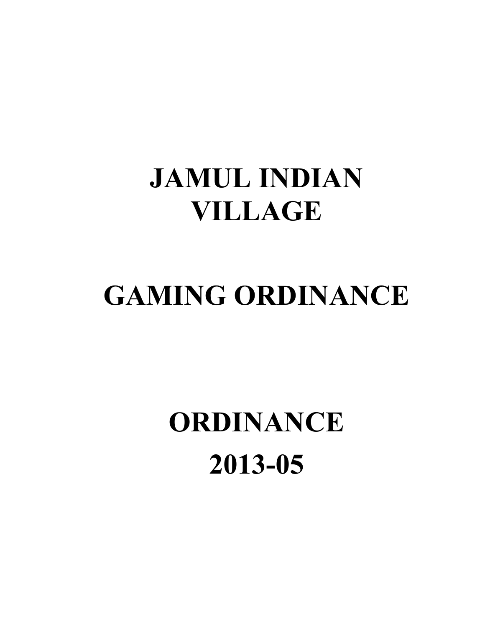# JAMUL INDIAN VILLAGE

# GAMING ORDINANCE

# ORDINANCE 2013-05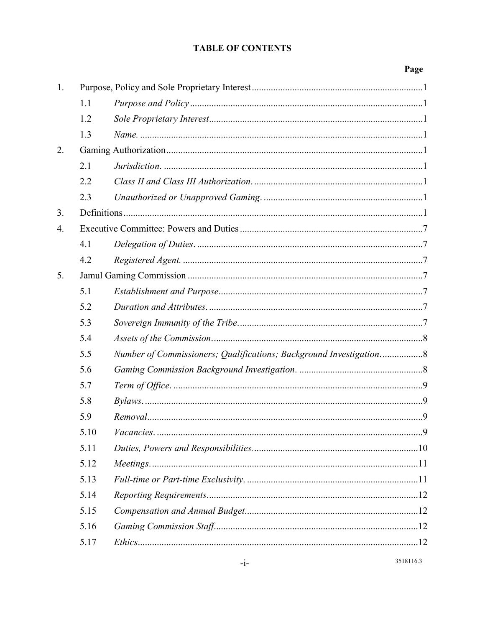#### **TABLE OF CONTENTS**

|    |      |                                                                    | Page |
|----|------|--------------------------------------------------------------------|------|
| 1. |      |                                                                    |      |
|    | 1.1  |                                                                    |      |
|    | 1.2  |                                                                    |      |
|    | 1.3  |                                                                    |      |
| 2. |      |                                                                    |      |
|    | 2.1  |                                                                    |      |
|    | 2.2  |                                                                    |      |
|    | 2.3  |                                                                    |      |
| 3. |      |                                                                    |      |
| 4. |      |                                                                    |      |
|    | 4.1  |                                                                    |      |
|    | 4.2  |                                                                    |      |
| 5. |      |                                                                    |      |
|    | 5.1  |                                                                    |      |
|    | 5.2  |                                                                    |      |
|    | 5.3  |                                                                    |      |
|    | 5.4  |                                                                    |      |
|    | 5.5  | Number of Commissioners; Qualifications; Background Investigation8 |      |
|    | 5.6  |                                                                    |      |
|    | 5.7  |                                                                    |      |
|    | 5.8  |                                                                    |      |
|    | 5.9  | Removal.                                                           | 9    |
|    | 5.10 |                                                                    |      |
|    | 5.11 |                                                                    |      |
|    | 5.12 |                                                                    |      |
|    | 5.13 |                                                                    |      |
|    | 5.14 |                                                                    |      |
|    | 5.15 |                                                                    |      |
|    | 5.16 |                                                                    |      |
|    | 5.17 |                                                                    |      |
|    |      |                                                                    |      |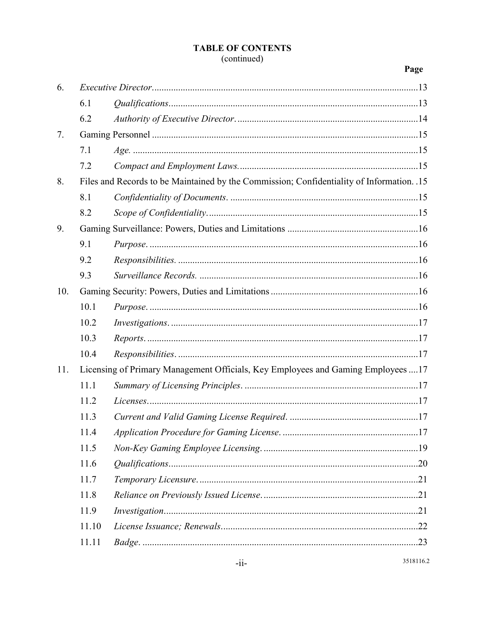#### **TABLE OF CONTENTS** (continued)

#### Page

| 6.  |                                                                                           |  |  |
|-----|-------------------------------------------------------------------------------------------|--|--|
|     | 6.1                                                                                       |  |  |
|     | 6.2                                                                                       |  |  |
| 7.  |                                                                                           |  |  |
|     | 7.1                                                                                       |  |  |
|     | 7.2                                                                                       |  |  |
| 8.  | Files and Records to be Maintained by the Commission; Confidentiality of Information. .15 |  |  |
|     | 8.1                                                                                       |  |  |
|     | 8.2                                                                                       |  |  |
| 9.  |                                                                                           |  |  |
|     | 9.1                                                                                       |  |  |
|     | 9.2                                                                                       |  |  |
|     | 9.3                                                                                       |  |  |
| 10. |                                                                                           |  |  |
|     | 10.1                                                                                      |  |  |
|     | 10.2                                                                                      |  |  |
|     | 10.3                                                                                      |  |  |
|     | 10.4                                                                                      |  |  |
| 11. | Licensing of Primary Management Officials, Key Employees and Gaming Employees 17          |  |  |
|     | 11.1                                                                                      |  |  |
|     | 11.2                                                                                      |  |  |
|     | 11.3                                                                                      |  |  |
|     | 11.4                                                                                      |  |  |
|     | 11.5                                                                                      |  |  |
|     | 11.6                                                                                      |  |  |
|     | 11.7                                                                                      |  |  |
|     | 11.8                                                                                      |  |  |
|     | 11.9                                                                                      |  |  |
|     | 11.10                                                                                     |  |  |
|     | 11.11                                                                                     |  |  |
|     |                                                                                           |  |  |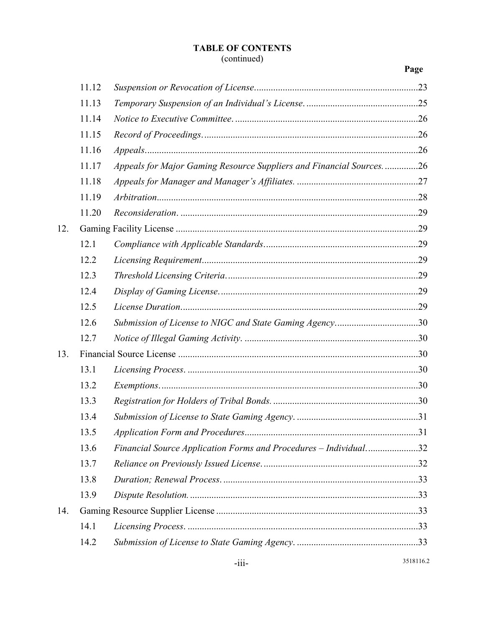#### TABLE OF CONTENTS

#### (continued)

|     | 11.12 |                                                                     |            |
|-----|-------|---------------------------------------------------------------------|------------|
|     | 11.13 |                                                                     |            |
|     | 11.14 |                                                                     |            |
|     | 11.15 |                                                                     |            |
|     | 11.16 |                                                                     |            |
|     | 11.17 | Appeals for Major Gaming Resource Suppliers and Financial Sources26 |            |
|     | 11.18 |                                                                     |            |
|     | 11.19 |                                                                     |            |
|     | 11.20 |                                                                     |            |
| 12. |       |                                                                     |            |
|     | 12.1  |                                                                     |            |
|     | 12.2  |                                                                     |            |
|     | 12.3  |                                                                     |            |
|     | 12.4  |                                                                     |            |
|     | 12.5  |                                                                     |            |
|     | 12.6  | Submission of License to NIGC and State Gaming Agency30             |            |
|     | 12.7  |                                                                     |            |
| 13. |       |                                                                     |            |
|     | 13.1  |                                                                     |            |
|     | 13.2  |                                                                     |            |
|     | 13.3  |                                                                     |            |
|     | 13.4  |                                                                     |            |
|     | 13.5  |                                                                     | $\dots$ 31 |
|     | 13.6  | Financial Source Application Forms and Procedures - Individual32    |            |
|     | 13.7  |                                                                     |            |
|     | 13.8  |                                                                     |            |
|     | 13.9  |                                                                     |            |
| 14. |       |                                                                     |            |
|     | 14.1  |                                                                     |            |
|     | 14.2  |                                                                     |            |
|     |       |                                                                     |            |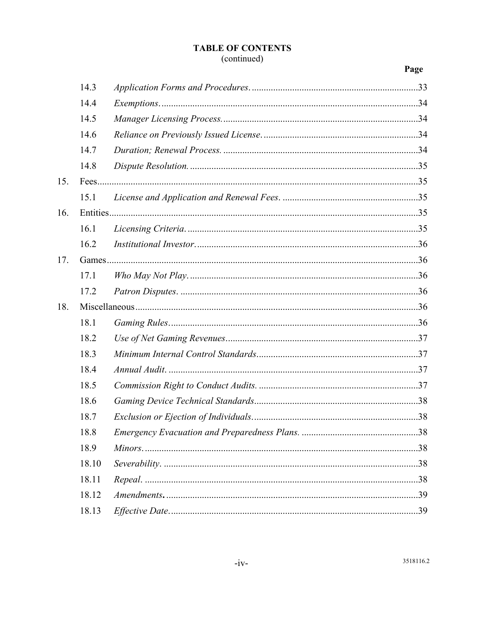### **TABLE OF CONTENTS**

#### (continued)

#### Page

|     | 14.3  |  |  |
|-----|-------|--|--|
|     | 14.4  |  |  |
|     | 14.5  |  |  |
|     | 14.6  |  |  |
|     | 14.7  |  |  |
|     | 14.8  |  |  |
| 15. |       |  |  |
|     | 15.1  |  |  |
| 16. |       |  |  |
|     | 16.1  |  |  |
|     | 16.2  |  |  |
| 17. |       |  |  |
|     | 17.1  |  |  |
|     | 17.2  |  |  |
| 18. |       |  |  |
|     | 18.1  |  |  |
|     | 18.2  |  |  |
|     | 18.3  |  |  |
|     | 18.4  |  |  |
|     | 18.5  |  |  |
|     | 18.6  |  |  |
|     | 18.7  |  |  |
|     | 18.8  |  |  |
|     | 18.9  |  |  |
|     | 18.10 |  |  |
|     | 18.11 |  |  |
|     | 18.12 |  |  |
|     | 18.13 |  |  |
|     |       |  |  |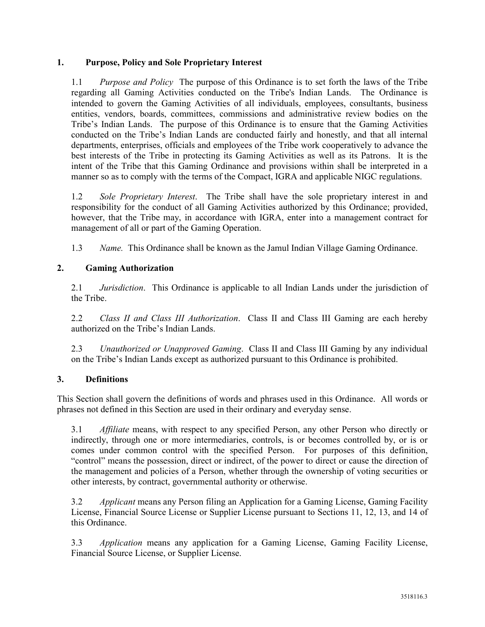#### 1. Purpose, Policy and Sole Proprietary Interest

1.1 Purpose and Policy The purpose of this Ordinance is to set forth the laws of the Tribe regarding all Gaming Activities conducted on the Tribe's Indian Lands. The Ordinance is intended to govern the Gaming Activities of all individuals, employees, consultants, business entities, vendors, boards, committees, commissions and administrative review bodies on the Tribe's Indian Lands. The purpose of this Ordinance is to ensure that the Gaming Activities conducted on the Tribe's Indian Lands are conducted fairly and honestly, and that all internal departments, enterprises, officials and employees of the Tribe work cooperatively to advance the best interests of the Tribe in protecting its Gaming Activities as well as its Patrons. It is the intent of the Tribe that this Gaming Ordinance and provisions within shall be interpreted in a manner so as to comply with the terms of the Compact, IGRA and applicable NIGC regulations.

1.2 Sole Proprietary Interest. The Tribe shall have the sole proprietary interest in and responsibility for the conduct of all Gaming Activities authorized by this Ordinance; provided, however, that the Tribe may, in accordance with IGRA, enter into a management contract for management of all or part of the Gaming Operation.

1.3 Name. This Ordinance shall be known as the Jamul Indian Village Gaming Ordinance.

#### 2. Gaming Authorization

2.1 *Jurisdiction*. This Ordinance is applicable to all Indian Lands under the jurisdiction of the Tribe.

2.2 Class II and Class III Authorization. Class II and Class III Gaming are each hereby authorized on the Tribe's Indian Lands.

2.3 Unauthorized or Unapproved Gaming. Class II and Class III Gaming by any individual on the Tribe's Indian Lands except as authorized pursuant to this Ordinance is prohibited.

#### 3. Definitions

This Section shall govern the definitions of words and phrases used in this Ordinance. All words or phrases not defined in this Section are used in their ordinary and everyday sense.

3.1 Affiliate means, with respect to any specified Person, any other Person who directly or indirectly, through one or more intermediaries, controls, is or becomes controlled by, or is or comes under common control with the specified Person. For purposes of this definition, "control" means the possession, direct or indirect, of the power to direct or cause the direction of the management and policies of a Person, whether through the ownership of voting securities or other interests, by contract, governmental authority or otherwise.

3.2 Applicant means any Person filing an Application for a Gaming License, Gaming Facility License, Financial Source License or Supplier License pursuant to Sections 11, 12, 13, and 14 of this Ordinance.

3.3 Application means any application for a Gaming License, Gaming Facility License, Financial Source License, or Supplier License.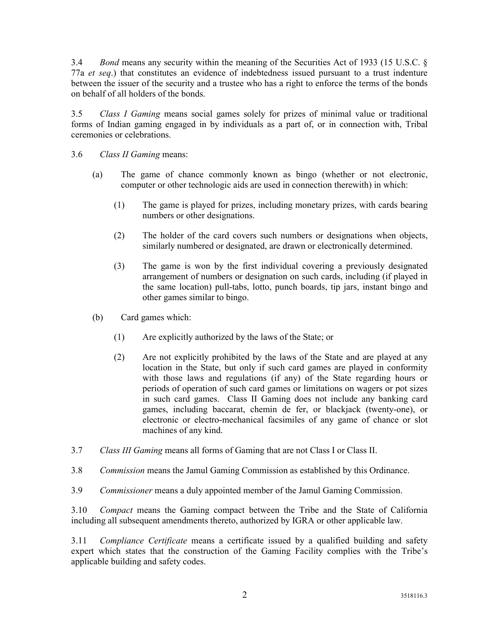3.4 Bond means any security within the meaning of the Securities Act of 1933 (15 U.S.C. § 77a et seq.) that constitutes an evidence of indebtedness issued pursuant to a trust indenture between the issuer of the security and a trustee who has a right to enforce the terms of the bonds on behalf of all holders of the bonds.

3.5 Class I Gaming means social games solely for prizes of minimal value or traditional forms of Indian gaming engaged in by individuals as a part of, or in connection with, Tribal ceremonies or celebrations.

- 3.6 Class II Gaming means:
	- (a) The game of chance commonly known as bingo (whether or not electronic, computer or other technologic aids are used in connection therewith) in which:
		- (1) The game is played for prizes, including monetary prizes, with cards bearing numbers or other designations.
		- (2) The holder of the card covers such numbers or designations when objects, similarly numbered or designated, are drawn or electronically determined.
		- (3) The game is won by the first individual covering a previously designated arrangement of numbers or designation on such cards, including (if played in the same location) pull-tabs, lotto, punch boards, tip jars, instant bingo and other games similar to bingo.
	- (b) Card games which:
		- (1) Are explicitly authorized by the laws of the State; or
		- (2) Are not explicitly prohibited by the laws of the State and are played at any location in the State, but only if such card games are played in conformity with those laws and regulations (if any) of the State regarding hours or periods of operation of such card games or limitations on wagers or pot sizes in such card games. Class II Gaming does not include any banking card games, including baccarat, chemin de fer, or blackjack (twenty-one), or electronic or electro-mechanical facsimiles of any game of chance or slot machines of any kind.
- 3.7 Class III Gaming means all forms of Gaming that are not Class I or Class II.
- 3.8 Commission means the Jamul Gaming Commission as established by this Ordinance.
- 3.9 Commissioner means a duly appointed member of the Jamul Gaming Commission.

3.10 Compact means the Gaming compact between the Tribe and the State of California including all subsequent amendments thereto, authorized by IGRA or other applicable law.

3.11 Compliance Certificate means a certificate issued by a qualified building and safety expert which states that the construction of the Gaming Facility complies with the Tribe's applicable building and safety codes.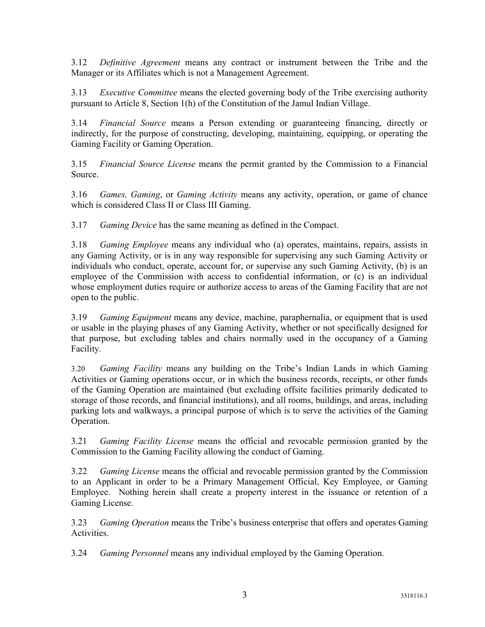3.12 Definitive Agreement means any contract or instrument between the Tribe and the Manager or its Affiliates which is not a Management Agreement.

3.13 Executive Committee means the elected governing body of the Tribe exercising authority pursuant to Article 8, Section 1(h) of the Constitution of the Jamul Indian Village.

3.14 Financial Source means a Person extending or guaranteeing financing, directly or indirectly, for the purpose of constructing, developing, maintaining, equipping, or operating the Gaming Facility or Gaming Operation.

3.15 Financial Source License means the permit granted by the Commission to a Financial Source.

3.16 Games, Gaming, or Gaming Activity means any activity, operation, or game of chance which is considered Class II or Class III Gaming.

3.17 Gaming Device has the same meaning as defined in the Compact.

3.18 Gaming Employee means any individual who (a) operates, maintains, repairs, assists in any Gaming Activity, or is in any way responsible for supervising any such Gaming Activity or individuals who conduct, operate, account for, or supervise any such Gaming Activity, (b) is an employee of the Commission with access to confidential information, or (c) is an individual whose employment duties require or authorize access to areas of the Gaming Facility that are not open to the public.

3.19 Gaming Equipment means any device, machine, paraphernalia, or equipment that is used or usable in the playing phases of any Gaming Activity, whether or not specifically designed for that purpose, but excluding tables and chairs normally used in the occupancy of a Gaming Facility.

3.20 Gaming Facility means any building on the Tribe's Indian Lands in which Gaming Activities or Gaming operations occur, or in which the business records, receipts, or other funds of the Gaming Operation are maintained (but excluding offsite facilities primarily dedicated to storage of those records, and financial institutions), and all rooms, buildings, and areas, including parking lots and walkways, a principal purpose of which is to serve the activities of the Gaming Operation.

3.21 Gaming Facility License means the official and revocable permission granted by the Commission to the Gaming Facility allowing the conduct of Gaming.

3.22 Gaming License means the official and revocable permission granted by the Commission to an Applicant in order to be a Primary Management Official, Key Employee, or Gaming Employee. Nothing herein shall create a property interest in the issuance or retention of a Gaming License.

3.23 Gaming Operation means the Tribe's business enterprise that offers and operates Gaming **Activities** 

3.24 Gaming Personnel means any individual employed by the Gaming Operation.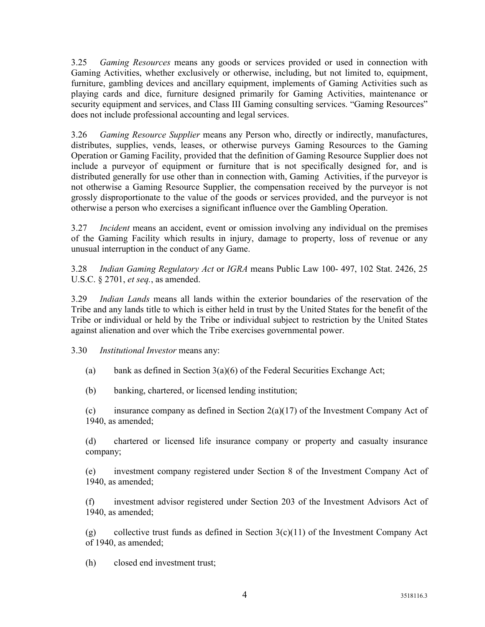3.25 Gaming Resources means any goods or services provided or used in connection with Gaming Activities, whether exclusively or otherwise, including, but not limited to, equipment, furniture, gambling devices and ancillary equipment, implements of Gaming Activities such as playing cards and dice, furniture designed primarily for Gaming Activities, maintenance or security equipment and services, and Class III Gaming consulting services. "Gaming Resources" does not include professional accounting and legal services.

3.26 Gaming Resource Supplier means any Person who, directly or indirectly, manufactures, distributes, supplies, vends, leases, or otherwise purveys Gaming Resources to the Gaming Operation or Gaming Facility, provided that the definition of Gaming Resource Supplier does not include a purveyor of equipment or furniture that is not specifically designed for, and is distributed generally for use other than in connection with, Gaming Activities, if the purveyor is not otherwise a Gaming Resource Supplier, the compensation received by the purveyor is not grossly disproportionate to the value of the goods or services provided, and the purveyor is not otherwise a person who exercises a significant influence over the Gambling Operation.

3.27 Incident means an accident, event or omission involving any individual on the premises of the Gaming Facility which results in injury, damage to property, loss of revenue or any unusual interruption in the conduct of any Game.

3.28 Indian Gaming Regulatory Act or IGRA means Public Law 100- 497, 102 Stat. 2426, 25 U.S.C. § 2701, *et seq.*, as amended.

3.29 Indian Lands means all lands within the exterior boundaries of the reservation of the Tribe and any lands title to which is either held in trust by the United States for the benefit of the Tribe or individual or held by the Tribe or individual subject to restriction by the United States against alienation and over which the Tribe exercises governmental power.

3.30 Institutional Investor means any:

(a) bank as defined in Section  $3(a)(6)$  of the Federal Securities Exchange Act;

(b) banking, chartered, or licensed lending institution;

(c) insurance company as defined in Section  $2(a)(17)$  of the Investment Company Act of 1940, as amended;

(d) chartered or licensed life insurance company or property and casualty insurance company;

(e) investment company registered under Section 8 of the Investment Company Act of 1940, as amended;

(f) investment advisor registered under Section 203 of the Investment Advisors Act of 1940, as amended;

(g) collective trust funds as defined in Section  $3(c)(11)$  of the Investment Company Act of 1940, as amended;

(h) closed end investment trust;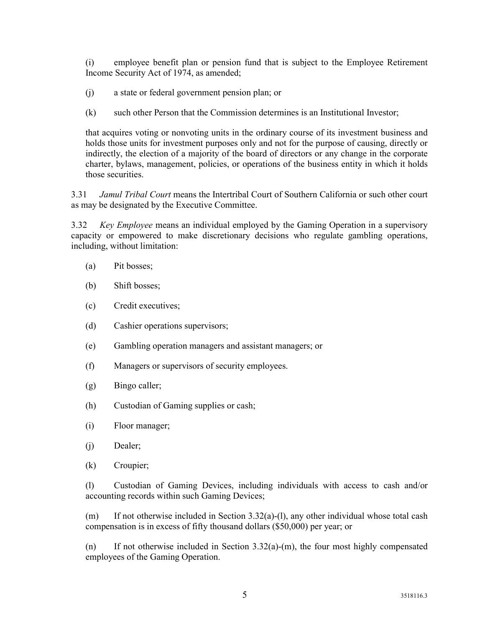(i) employee benefit plan or pension fund that is subject to the Employee Retirement Income Security Act of 1974, as amended;

- (j) a state or federal government pension plan; or
- (k) such other Person that the Commission determines is an Institutional Investor;

that acquires voting or nonvoting units in the ordinary course of its investment business and holds those units for investment purposes only and not for the purpose of causing, directly or indirectly, the election of a majority of the board of directors or any change in the corporate charter, bylaws, management, policies, or operations of the business entity in which it holds those securities.

3.31 *Jamul Tribal Court* means the Intertribal Court of Southern California or such other court as may be designated by the Executive Committee.

3.32 Key Employee means an individual employed by the Gaming Operation in a supervisory capacity or empowered to make discretionary decisions who regulate gambling operations, including, without limitation:

- (a) Pit bosses;
- (b) Shift bosses;
- (c) Credit executives;
- (d) Cashier operations supervisors;
- (e) Gambling operation managers and assistant managers; or
- (f) Managers or supervisors of security employees.
- (g) Bingo caller;
- (h) Custodian of Gaming supplies or cash;
- (i) Floor manager;
- (j) Dealer;
- (k) Croupier;

(l) Custodian of Gaming Devices, including individuals with access to cash and/or accounting records within such Gaming Devices;

(m) If not otherwise included in Section 3.32(a)-(1), any other individual whose total cash compensation is in excess of fifty thousand dollars (\$50,000) per year; or

(n) If not otherwise included in Section  $3.32(a)-(m)$ , the four most highly compensated employees of the Gaming Operation.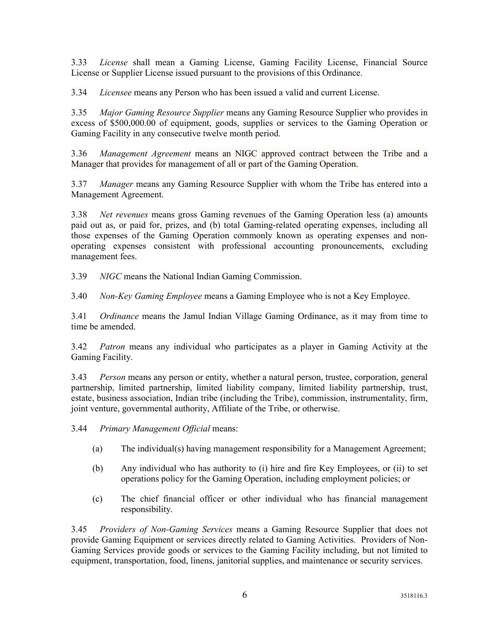3.33 License shall mean a Gaming License, Gaming Facility License, Financial Source License or Supplier License issued pursuant to the provisions of this Ordinance.

3.34 Licensee means any Person who has been issued a valid and current License.

3.35 Major Gaming Resource Supplier means any Gaming Resource Supplier who provides in excess of \$500,000.00 of equipment, goods, supplies or services to the Gaming Operation or Gaming Facility in any consecutive twelve month period.

3.36 *Management Agreement* means an NIGC approved contract between the Tribe and a Manager that provides for management of all or part of the Gaming Operation.

3.37 Manager means any Gaming Resource Supplier with whom the Tribe has entered into a Management Agreement.

3.38 Net revenues means gross Gaming revenues of the Gaming Operation less (a) amounts paid out as, or paid for, prizes, and (b) total Gaming-related operating expenses, including all those expenses of the Gaming Operation commonly known as operating expenses and nonoperating expenses consistent with professional accounting pronouncements, excluding management fees.

3.39 NIGC means the National Indian Gaming Commission.

3.40 Non-Key Gaming Employee means a Gaming Employee who is not a Key Employee.

3.41 *Ordinance* means the Jamul Indian Village Gaming Ordinance, as it may from time to time be amended.

3.42 *Patron* means any individual who participates as a player in Gaming Activity at the Gaming Facility.

3.43 Person means any person or entity, whether a natural person, trustee, corporation, general partnership, limited partnership, limited liability company, limited liability partnership, trust, estate, business association, Indian tribe (including the Tribe), commission, instrumentality, firm, joint venture, governmental authority, Affiliate of the Tribe, or otherwise.

3.44 Primary Management Official means:

- (a) The individual(s) having management responsibility for a Management Agreement;
- (b) Any individual who has authority to (i) hire and fire Key Employees, or (ii) to set operations policy for the Gaming Operation, including employment policies; or
- (c) The chief financial officer or other individual who has financial management responsibility.

3.45 Providers of Non-Gaming Services means a Gaming Resource Supplier that does not provide Gaming Equipment or services directly related to Gaming Activities. Providers of Non-Gaming Services provide goods or services to the Gaming Facility including, but not limited to equipment, transportation, food, linens, janitorial supplies, and maintenance or security services.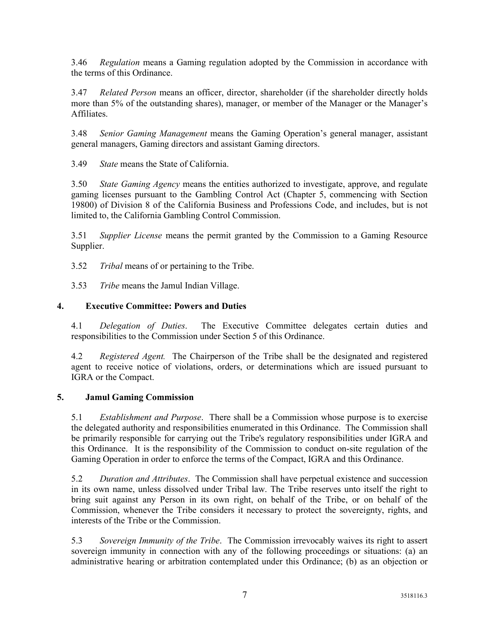3.46 Regulation means a Gaming regulation adopted by the Commission in accordance with the terms of this Ordinance.

3.47 Related Person means an officer, director, shareholder (if the shareholder directly holds more than 5% of the outstanding shares), manager, or member of the Manager or the Manager's Affiliates.

3.48 Senior Gaming Management means the Gaming Operation's general manager, assistant general managers, Gaming directors and assistant Gaming directors.

3.49 State means the State of California.

3.50 State Gaming Agency means the entities authorized to investigate, approve, and regulate gaming licenses pursuant to the Gambling Control Act (Chapter 5, commencing with Section 19800) of Division 8 of the California Business and Professions Code, and includes, but is not limited to, the California Gambling Control Commission.

3.51 Supplier License means the permit granted by the Commission to a Gaming Resource Supplier.

3.52 Tribal means of or pertaining to the Tribe.

3.53 Tribe means the Jamul Indian Village.

#### 4. Executive Committee: Powers and Duties

4.1 Delegation of Duties. The Executive Committee delegates certain duties and responsibilities to the Commission under Section 5 of this Ordinance.

4.2 Registered Agent. The Chairperson of the Tribe shall be the designated and registered agent to receive notice of violations, orders, or determinations which are issued pursuant to IGRA or the Compact.

#### 5. Jamul Gaming Commission

5.1 Establishment and Purpose. There shall be a Commission whose purpose is to exercise the delegated authority and responsibilities enumerated in this Ordinance. The Commission shall be primarily responsible for carrying out the Tribe's regulatory responsibilities under IGRA and this Ordinance. It is the responsibility of the Commission to conduct on-site regulation of the Gaming Operation in order to enforce the terms of the Compact, IGRA and this Ordinance.

5.2 Duration and Attributes. The Commission shall have perpetual existence and succession in its own name, unless dissolved under Tribal law. The Tribe reserves unto itself the right to bring suit against any Person in its own right, on behalf of the Tribe, or on behalf of the Commission, whenever the Tribe considers it necessary to protect the sovereignty, rights, and interests of the Tribe or the Commission.

5.3 Sovereign Immunity of the Tribe. The Commission irrevocably waives its right to assert sovereign immunity in connection with any of the following proceedings or situations: (a) an administrative hearing or arbitration contemplated under this Ordinance; (b) as an objection or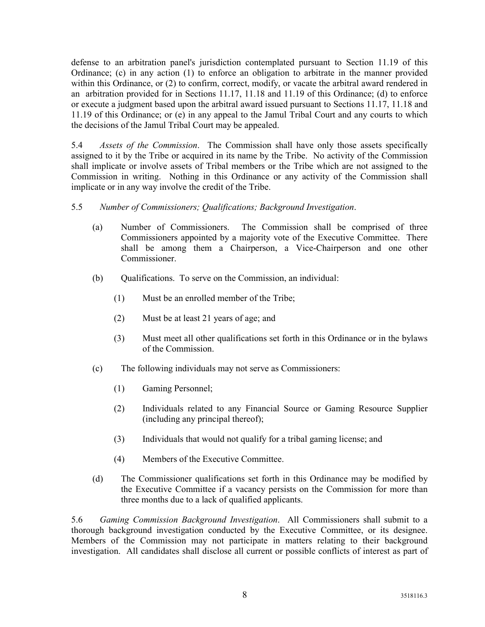defense to an arbitration panel's jurisdiction contemplated pursuant to Section 11.19 of this Ordinance; (c) in any action (1) to enforce an obligation to arbitrate in the manner provided within this Ordinance, or (2) to confirm, correct, modify, or vacate the arbitral award rendered in an arbitration provided for in Sections 11.17, 11.18 and 11.19 of this Ordinance; (d) to enforce or execute a judgment based upon the arbitral award issued pursuant to Sections 11.17, 11.18 and 11.19 of this Ordinance; or (e) in any appeal to the Jamul Tribal Court and any courts to which the decisions of the Jamul Tribal Court may be appealed.

5.4 Assets of the Commission. The Commission shall have only those assets specifically assigned to it by the Tribe or acquired in its name by the Tribe. No activity of the Commission shall implicate or involve assets of Tribal members or the Tribe which are not assigned to the Commission in writing. Nothing in this Ordinance or any activity of the Commission shall implicate or in any way involve the credit of the Tribe.

#### 5.5 Number of Commissioners; Qualifications; Background Investigation.

- (a) Number of Commissioners. The Commission shall be comprised of three Commissioners appointed by a majority vote of the Executive Committee. There shall be among them a Chairperson, a Vice-Chairperson and one other Commissioner.
- (b) Qualifications. To serve on the Commission, an individual:
	- (1) Must be an enrolled member of the Tribe;
	- (2) Must be at least 21 years of age; and
	- (3) Must meet all other qualifications set forth in this Ordinance or in the bylaws of the Commission.
- (c) The following individuals may not serve as Commissioners:
	- (1) Gaming Personnel;
	- (2) Individuals related to any Financial Source or Gaming Resource Supplier (including any principal thereof);
	- (3) Individuals that would not qualify for a tribal gaming license; and
	- (4) Members of the Executive Committee.
- (d) The Commissioner qualifications set forth in this Ordinance may be modified by the Executive Committee if a vacancy persists on the Commission for more than three months due to a lack of qualified applicants.

5.6 Gaming Commission Background Investigation. All Commissioners shall submit to a thorough background investigation conducted by the Executive Committee, or its designee. Members of the Commission may not participate in matters relating to their background investigation. All candidates shall disclose all current or possible conflicts of interest as part of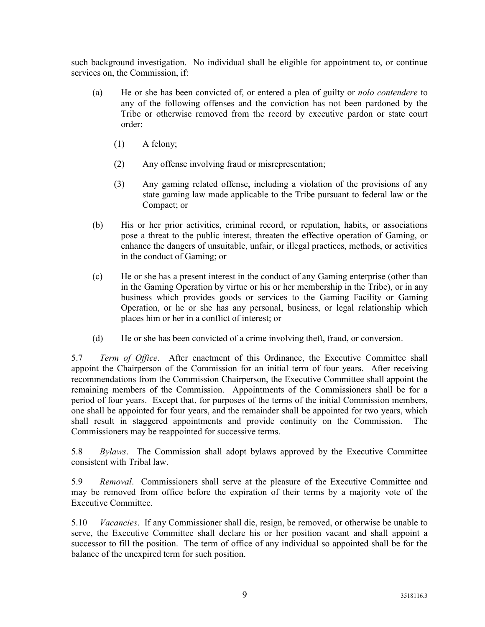such background investigation. No individual shall be eligible for appointment to, or continue services on, the Commission, if:

- (a) He or she has been convicted of, or entered a plea of guilty or nolo contendere to any of the following offenses and the conviction has not been pardoned by the Tribe or otherwise removed from the record by executive pardon or state court order:
	- (1) A felony;
	- (2) Any offense involving fraud or misrepresentation;
	- (3) Any gaming related offense, including a violation of the provisions of any state gaming law made applicable to the Tribe pursuant to federal law or the Compact; or
- (b) His or her prior activities, criminal record, or reputation, habits, or associations pose a threat to the public interest, threaten the effective operation of Gaming, or enhance the dangers of unsuitable, unfair, or illegal practices, methods, or activities in the conduct of Gaming; or
- (c) He or she has a present interest in the conduct of any Gaming enterprise (other than in the Gaming Operation by virtue or his or her membership in the Tribe), or in any business which provides goods or services to the Gaming Facility or Gaming Operation, or he or she has any personal, business, or legal relationship which places him or her in a conflict of interest; or
- (d) He or she has been convicted of a crime involving theft, fraud, or conversion.

5.7 Term of Office. After enactment of this Ordinance, the Executive Committee shall appoint the Chairperson of the Commission for an initial term of four years. After receiving recommendations from the Commission Chairperson, the Executive Committee shall appoint the remaining members of the Commission. Appointments of the Commissioners shall be for a period of four years. Except that, for purposes of the terms of the initial Commission members, one shall be appointed for four years, and the remainder shall be appointed for two years, which shall result in staggered appointments and provide continuity on the Commission. The Commissioners may be reappointed for successive terms.

5.8 Bylaws. The Commission shall adopt bylaws approved by the Executive Committee consistent with Tribal law.

5.9 Removal. Commissioners shall serve at the pleasure of the Executive Committee and may be removed from office before the expiration of their terms by a majority vote of the Executive Committee.

5.10 Vacancies. If any Commissioner shall die, resign, be removed, or otherwise be unable to serve, the Executive Committee shall declare his or her position vacant and shall appoint a successor to fill the position. The term of office of any individual so appointed shall be for the balance of the unexpired term for such position.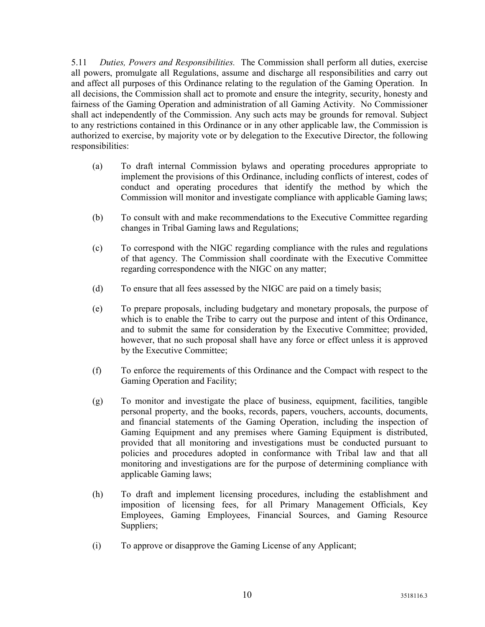5.11 Duties, Powers and Responsibilities. The Commission shall perform all duties, exercise all powers, promulgate all Regulations, assume and discharge all responsibilities and carry out and affect all purposes of this Ordinance relating to the regulation of the Gaming Operation. In all decisions, the Commission shall act to promote and ensure the integrity, security, honesty and fairness of the Gaming Operation and administration of all Gaming Activity. No Commissioner shall act independently of the Commission. Any such acts may be grounds for removal. Subject to any restrictions contained in this Ordinance or in any other applicable law, the Commission is authorized to exercise, by majority vote or by delegation to the Executive Director, the following responsibilities:

- (a) To draft internal Commission bylaws and operating procedures appropriate to implement the provisions of this Ordinance, including conflicts of interest, codes of conduct and operating procedures that identify the method by which the Commission will monitor and investigate compliance with applicable Gaming laws;
- (b) To consult with and make recommendations to the Executive Committee regarding changes in Tribal Gaming laws and Regulations;
- (c) To correspond with the NIGC regarding compliance with the rules and regulations of that agency. The Commission shall coordinate with the Executive Committee regarding correspondence with the NIGC on any matter;
- (d) To ensure that all fees assessed by the NIGC are paid on a timely basis;
- (e) To prepare proposals, including budgetary and monetary proposals, the purpose of which is to enable the Tribe to carry out the purpose and intent of this Ordinance, and to submit the same for consideration by the Executive Committee; provided, however, that no such proposal shall have any force or effect unless it is approved by the Executive Committee;
- (f) To enforce the requirements of this Ordinance and the Compact with respect to the Gaming Operation and Facility;
- (g) To monitor and investigate the place of business, equipment, facilities, tangible personal property, and the books, records, papers, vouchers, accounts, documents, and financial statements of the Gaming Operation, including the inspection of Gaming Equipment and any premises where Gaming Equipment is distributed, provided that all monitoring and investigations must be conducted pursuant to policies and procedures adopted in conformance with Tribal law and that all monitoring and investigations are for the purpose of determining compliance with applicable Gaming laws;
- (h) To draft and implement licensing procedures, including the establishment and imposition of licensing fees, for all Primary Management Officials, Key Employees, Gaming Employees, Financial Sources, and Gaming Resource Suppliers;
- (i) To approve or disapprove the Gaming License of any Applicant;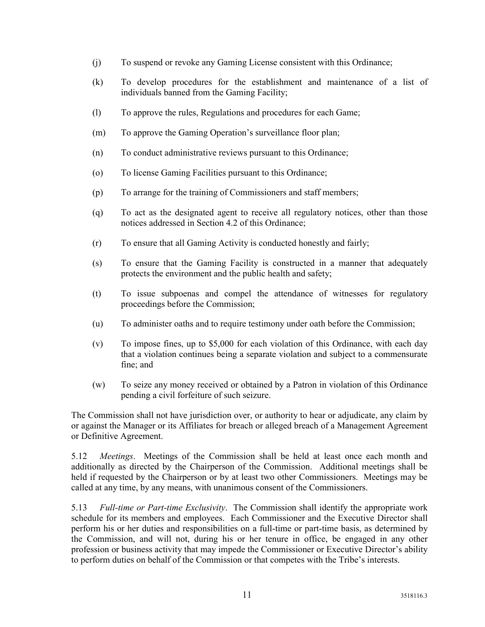- (j) To suspend or revoke any Gaming License consistent with this Ordinance;
- (k) To develop procedures for the establishment and maintenance of a list of individuals banned from the Gaming Facility;
- (l) To approve the rules, Regulations and procedures for each Game;
- (m) To approve the Gaming Operation's surveillance floor plan;
- (n) To conduct administrative reviews pursuant to this Ordinance;
- (o) To license Gaming Facilities pursuant to this Ordinance;
- (p) To arrange for the training of Commissioners and staff members;
- (q) To act as the designated agent to receive all regulatory notices, other than those notices addressed in Section 4.2 of this Ordinance;
- (r) To ensure that all Gaming Activity is conducted honestly and fairly;
- (s) To ensure that the Gaming Facility is constructed in a manner that adequately protects the environment and the public health and safety;
- (t) To issue subpoenas and compel the attendance of witnesses for regulatory proceedings before the Commission;
- (u) To administer oaths and to require testimony under oath before the Commission;
- (v) To impose fines, up to \$5,000 for each violation of this Ordinance, with each day that a violation continues being a separate violation and subject to a commensurate fine; and
- (w) To seize any money received or obtained by a Patron in violation of this Ordinance pending a civil forfeiture of such seizure.

The Commission shall not have jurisdiction over, or authority to hear or adjudicate, any claim by or against the Manager or its Affiliates for breach or alleged breach of a Management Agreement or Definitive Agreement.

5.12 Meetings. Meetings of the Commission shall be held at least once each month and additionally as directed by the Chairperson of the Commission. Additional meetings shall be held if requested by the Chairperson or by at least two other Commissioners. Meetings may be called at any time, by any means, with unanimous consent of the Commissioners.

5.13 Full-time or Part-time Exclusivity. The Commission shall identify the appropriate work schedule for its members and employees. Each Commissioner and the Executive Director shall perform his or her duties and responsibilities on a full-time or part-time basis, as determined by the Commission, and will not, during his or her tenure in office, be engaged in any other profession or business activity that may impede the Commissioner or Executive Director's ability to perform duties on behalf of the Commission or that competes with the Tribe's interests.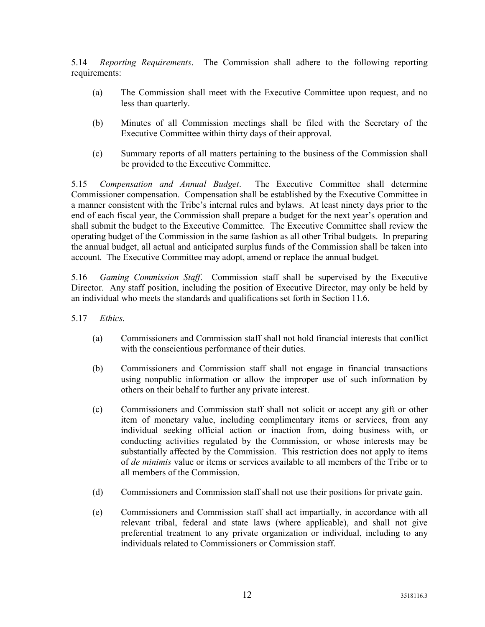5.14 Reporting Requirements. The Commission shall adhere to the following reporting requirements:

- (a) The Commission shall meet with the Executive Committee upon request, and no less than quarterly.
- (b) Minutes of all Commission meetings shall be filed with the Secretary of the Executive Committee within thirty days of their approval.
- (c) Summary reports of all matters pertaining to the business of the Commission shall be provided to the Executive Committee.

5.15 Compensation and Annual Budget. The Executive Committee shall determine Commissioner compensation. Compensation shall be established by the Executive Committee in a manner consistent with the Tribe's internal rules and bylaws. At least ninety days prior to the end of each fiscal year, the Commission shall prepare a budget for the next year's operation and shall submit the budget to the Executive Committee. The Executive Committee shall review the operating budget of the Commission in the same fashion as all other Tribal budgets. In preparing the annual budget, all actual and anticipated surplus funds of the Commission shall be taken into account. The Executive Committee may adopt, amend or replace the annual budget.

5.16 Gaming Commission Staff. Commission staff shall be supervised by the Executive Director. Any staff position, including the position of Executive Director, may only be held by an individual who meets the standards and qualifications set forth in Section 11.6.

- 5.17 Ethics.
	- (a) Commissioners and Commission staff shall not hold financial interests that conflict with the conscientious performance of their duties.
	- (b) Commissioners and Commission staff shall not engage in financial transactions using nonpublic information or allow the improper use of such information by others on their behalf to further any private interest.
	- (c) Commissioners and Commission staff shall not solicit or accept any gift or other item of monetary value, including complimentary items or services, from any individual seeking official action or inaction from, doing business with, or conducting activities regulated by the Commission, or whose interests may be substantially affected by the Commission. This restriction does not apply to items of de minimis value or items or services available to all members of the Tribe or to all members of the Commission.
	- (d) Commissioners and Commission staff shall not use their positions for private gain.
	- (e) Commissioners and Commission staff shall act impartially, in accordance with all relevant tribal, federal and state laws (where applicable), and shall not give preferential treatment to any private organization or individual, including to any individuals related to Commissioners or Commission staff.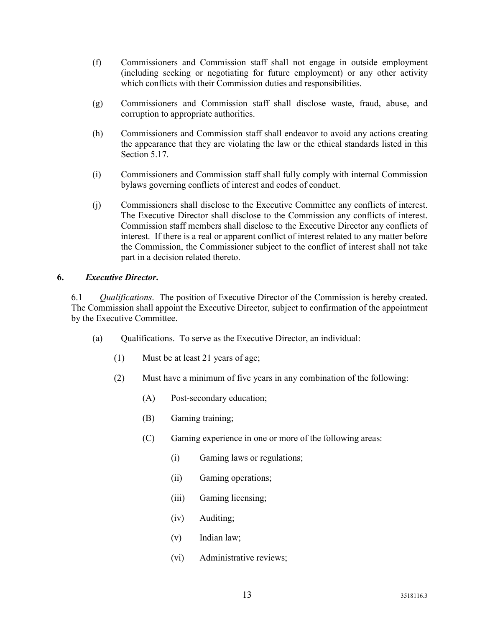- (f) Commissioners and Commission staff shall not engage in outside employment (including seeking or negotiating for future employment) or any other activity which conflicts with their Commission duties and responsibilities.
- (g) Commissioners and Commission staff shall disclose waste, fraud, abuse, and corruption to appropriate authorities.
- (h) Commissioners and Commission staff shall endeavor to avoid any actions creating the appearance that they are violating the law or the ethical standards listed in this Section 5.17.
- (i) Commissioners and Commission staff shall fully comply with internal Commission bylaws governing conflicts of interest and codes of conduct.
- (j) Commissioners shall disclose to the Executive Committee any conflicts of interest. The Executive Director shall disclose to the Commission any conflicts of interest. Commission staff members shall disclose to the Executive Director any conflicts of interest. If there is a real or apparent conflict of interest related to any matter before the Commission, the Commissioner subject to the conflict of interest shall not take part in a decision related thereto.

#### 6. Executive Director.

6.1 Qualifications. The position of Executive Director of the Commission is hereby created. The Commission shall appoint the Executive Director, subject to confirmation of the appointment by the Executive Committee.

- (a) Qualifications. To serve as the Executive Director, an individual:
	- (1) Must be at least 21 years of age;
	- (2) Must have a minimum of five years in any combination of the following:
		- (A) Post-secondary education;
		- (B) Gaming training;
		- (C) Gaming experience in one or more of the following areas:
			- (i) Gaming laws or regulations;
			- (ii) Gaming operations;
			- (iii) Gaming licensing;
			- (iv) Auditing;
			- (v) Indian law;
			- (vi) Administrative reviews;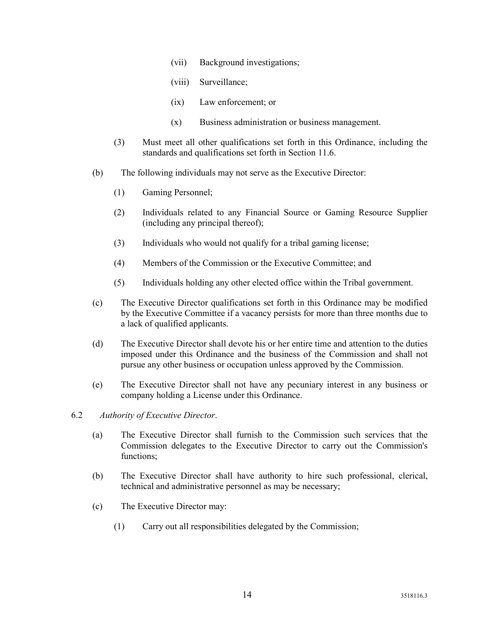- (vii) Background investigations;
- (viii) Surveillance;
- (ix) Law enforcement; or
- (x) Business administration or business management.
- (3) Must meet all other qualifications set forth in this Ordinance, including the standards and qualifications set forth in Section 11.6.
- (b) The following individuals may not serve as the Executive Director:
	- (1) Gaming Personnel;
	- (2) Individuals related to any Financial Source or Gaming Resource Supplier (including any principal thereof);
	- (3) Individuals who would not qualify for a tribal gaming license;
	- (4) Members of the Commission or the Executive Committee; and
	- (5) Individuals holding any other elected office within the Tribal government.
- (c) The Executive Director qualifications set forth in this Ordinance may be modified by the Executive Committee if a vacancy persists for more than three months due to a lack of qualified applicants.
- (d) The Executive Director shall devote his or her entire time and attention to the duties imposed under this Ordinance and the business of the Commission and shall not pursue any other business or occupation unless approved by the Commission.
- (e) The Executive Director shall not have any pecuniary interest in any business or company holding a License under this Ordinance.
- 6.2 Authority of Executive Director.
	- (a) The Executive Director shall furnish to the Commission such services that the Commission delegates to the Executive Director to carry out the Commission's functions;
	- (b) The Executive Director shall have authority to hire such professional, clerical, technical and administrative personnel as may be necessary;
	- (c) The Executive Director may:
		- (1) Carry out all responsibilities delegated by the Commission;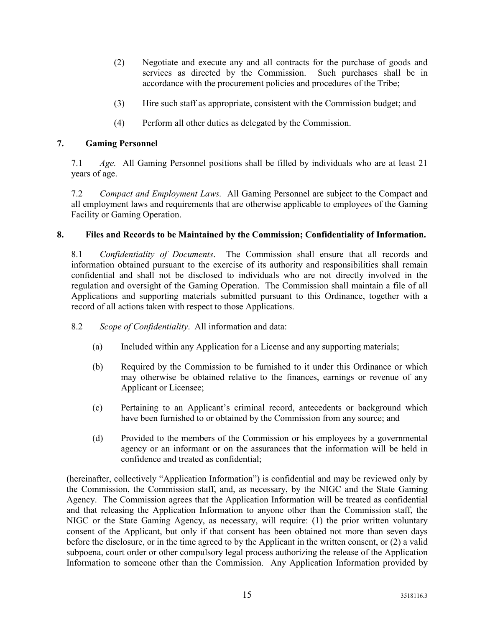- (2) Negotiate and execute any and all contracts for the purchase of goods and services as directed by the Commission. Such purchases shall be in accordance with the procurement policies and procedures of the Tribe;
- (3) Hire such staff as appropriate, consistent with the Commission budget; and
- (4) Perform all other duties as delegated by the Commission.

#### 7. Gaming Personnel

7.1 Age. All Gaming Personnel positions shall be filled by individuals who are at least 21 years of age.

7.2 Compact and Employment Laws. All Gaming Personnel are subject to the Compact and all employment laws and requirements that are otherwise applicable to employees of the Gaming Facility or Gaming Operation.

#### 8. Files and Records to be Maintained by the Commission; Confidentiality of Information.

8.1 Confidentiality of Documents. The Commission shall ensure that all records and information obtained pursuant to the exercise of its authority and responsibilities shall remain confidential and shall not be disclosed to individuals who are not directly involved in the regulation and oversight of the Gaming Operation. The Commission shall maintain a file of all Applications and supporting materials submitted pursuant to this Ordinance, together with a record of all actions taken with respect to those Applications.

- 8.2 Scope of Confidentiality. All information and data:
	- (a) Included within any Application for a License and any supporting materials;
	- (b) Required by the Commission to be furnished to it under this Ordinance or which may otherwise be obtained relative to the finances, earnings or revenue of any Applicant or Licensee;
	- (c) Pertaining to an Applicant's criminal record, antecedents or background which have been furnished to or obtained by the Commission from any source; and
	- (d) Provided to the members of the Commission or his employees by a governmental agency or an informant or on the assurances that the information will be held in confidence and treated as confidential;

(hereinafter, collectively "Application Information") is confidential and may be reviewed only by the Commission, the Commission staff, and, as necessary, by the NIGC and the State Gaming Agency. The Commission agrees that the Application Information will be treated as confidential and that releasing the Application Information to anyone other than the Commission staff, the NIGC or the State Gaming Agency, as necessary, will require: (1) the prior written voluntary consent of the Applicant, but only if that consent has been obtained not more than seven days before the disclosure, or in the time agreed to by the Applicant in the written consent, or (2) a valid subpoena, court order or other compulsory legal process authorizing the release of the Application Information to someone other than the Commission. Any Application Information provided by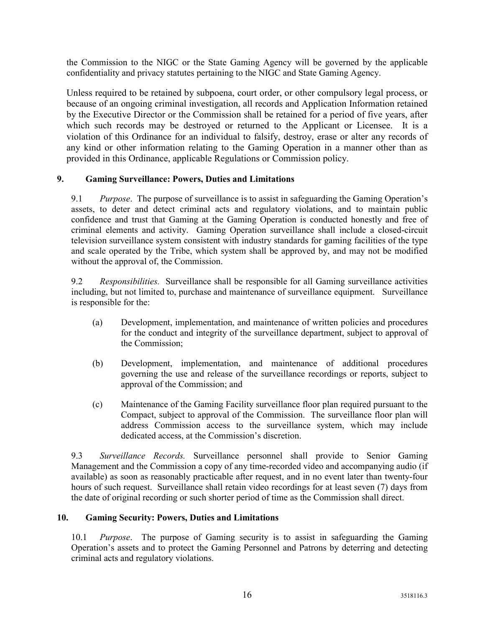the Commission to the NIGC or the State Gaming Agency will be governed by the applicable confidentiality and privacy statutes pertaining to the NIGC and State Gaming Agency.

Unless required to be retained by subpoena, court order, or other compulsory legal process, or because of an ongoing criminal investigation, all records and Application Information retained by the Executive Director or the Commission shall be retained for a period of five years, after which such records may be destroyed or returned to the Applicant or Licensee. It is a violation of this Ordinance for an individual to falsify, destroy, erase or alter any records of any kind or other information relating to the Gaming Operation in a manner other than as provided in this Ordinance, applicable Regulations or Commission policy.

#### 9. Gaming Surveillance: Powers, Duties and Limitations

9.1 Purpose. The purpose of surveillance is to assist in safeguarding the Gaming Operation's assets, to deter and detect criminal acts and regulatory violations, and to maintain public confidence and trust that Gaming at the Gaming Operation is conducted honestly and free of criminal elements and activity. Gaming Operation surveillance shall include a closed-circuit television surveillance system consistent with industry standards for gaming facilities of the type and scale operated by the Tribe, which system shall be approved by, and may not be modified without the approval of, the Commission.

9.2 Responsibilities. Surveillance shall be responsible for all Gaming surveillance activities including, but not limited to, purchase and maintenance of surveillance equipment. Surveillance is responsible for the:

- (a) Development, implementation, and maintenance of written policies and procedures for the conduct and integrity of the surveillance department, subject to approval of the Commission;
- (b) Development, implementation, and maintenance of additional procedures governing the use and release of the surveillance recordings or reports, subject to approval of the Commission; and
- (c) Maintenance of the Gaming Facility surveillance floor plan required pursuant to the Compact, subject to approval of the Commission. The surveillance floor plan will address Commission access to the surveillance system, which may include dedicated access, at the Commission's discretion.

9.3 Surveillance Records. Surveillance personnel shall provide to Senior Gaming Management and the Commission a copy of any time-recorded video and accompanying audio (if available) as soon as reasonably practicable after request, and in no event later than twenty-four hours of such request. Surveillance shall retain video recordings for at least seven (7) days from the date of original recording or such shorter period of time as the Commission shall direct.

#### 10. Gaming Security: Powers, Duties and Limitations

10.1 Purpose. The purpose of Gaming security is to assist in safeguarding the Gaming Operation's assets and to protect the Gaming Personnel and Patrons by deterring and detecting criminal acts and regulatory violations.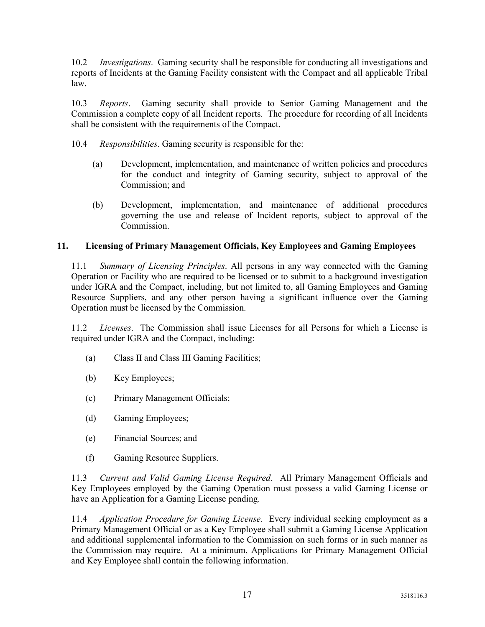10.2 Investigations. Gaming security shall be responsible for conducting all investigations and reports of Incidents at the Gaming Facility consistent with the Compact and all applicable Tribal law.

10.3 Reports. Gaming security shall provide to Senior Gaming Management and the Commission a complete copy of all Incident reports. The procedure for recording of all Incidents shall be consistent with the requirements of the Compact.

10.4 Responsibilities. Gaming security is responsible for the:

- (a) Development, implementation, and maintenance of written policies and procedures for the conduct and integrity of Gaming security, subject to approval of the Commission; and
- (b) Development, implementation, and maintenance of additional procedures governing the use and release of Incident reports, subject to approval of the Commission.

#### 11. Licensing of Primary Management Officials, Key Employees and Gaming Employees

11.1 Summary of Licensing Principles. All persons in any way connected with the Gaming Operation or Facility who are required to be licensed or to submit to a background investigation under IGRA and the Compact, including, but not limited to, all Gaming Employees and Gaming Resource Suppliers, and any other person having a significant influence over the Gaming Operation must be licensed by the Commission.

11.2 Licenses. The Commission shall issue Licenses for all Persons for which a License is required under IGRA and the Compact, including:

- (a) Class II and Class III Gaming Facilities;
- (b) Key Employees;
- (c) Primary Management Officials;
- (d) Gaming Employees;
- (e) Financial Sources; and
- (f) Gaming Resource Suppliers.

11.3 Current and Valid Gaming License Required. All Primary Management Officials and Key Employees employed by the Gaming Operation must possess a valid Gaming License or have an Application for a Gaming License pending.

11.4 Application Procedure for Gaming License. Every individual seeking employment as a Primary Management Official or as a Key Employee shall submit a Gaming License Application and additional supplemental information to the Commission on such forms or in such manner as the Commission may require. At a minimum, Applications for Primary Management Official and Key Employee shall contain the following information.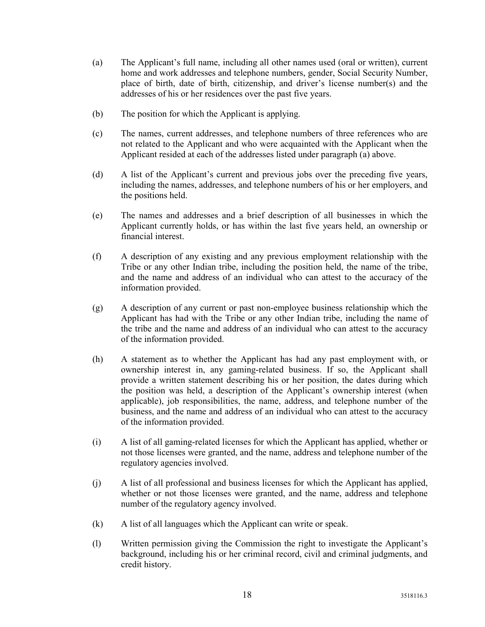- (a) The Applicant's full name, including all other names used (oral or written), current home and work addresses and telephone numbers, gender, Social Security Number, place of birth, date of birth, citizenship, and driver's license number(s) and the addresses of his or her residences over the past five years.
- (b) The position for which the Applicant is applying.
- (c) The names, current addresses, and telephone numbers of three references who are not related to the Applicant and who were acquainted with the Applicant when the Applicant resided at each of the addresses listed under paragraph (a) above.
- (d) A list of the Applicant's current and previous jobs over the preceding five years, including the names, addresses, and telephone numbers of his or her employers, and the positions held.
- (e) The names and addresses and a brief description of all businesses in which the Applicant currently holds, or has within the last five years held, an ownership or financial interest.
- (f) A description of any existing and any previous employment relationship with the Tribe or any other Indian tribe, including the position held, the name of the tribe, and the name and address of an individual who can attest to the accuracy of the information provided.
- (g) A description of any current or past non-employee business relationship which the Applicant has had with the Tribe or any other Indian tribe, including the name of the tribe and the name and address of an individual who can attest to the accuracy of the information provided.
- (h) A statement as to whether the Applicant has had any past employment with, or ownership interest in, any gaming-related business. If so, the Applicant shall provide a written statement describing his or her position, the dates during which the position was held, a description of the Applicant's ownership interest (when applicable), job responsibilities, the name, address, and telephone number of the business, and the name and address of an individual who can attest to the accuracy of the information provided.
- (i) A list of all gaming-related licenses for which the Applicant has applied, whether or not those licenses were granted, and the name, address and telephone number of the regulatory agencies involved.
- (j) A list of all professional and business licenses for which the Applicant has applied, whether or not those licenses were granted, and the name, address and telephone number of the regulatory agency involved.
- (k) A list of all languages which the Applicant can write or speak.
- (l) Written permission giving the Commission the right to investigate the Applicant's background, including his or her criminal record, civil and criminal judgments, and credit history.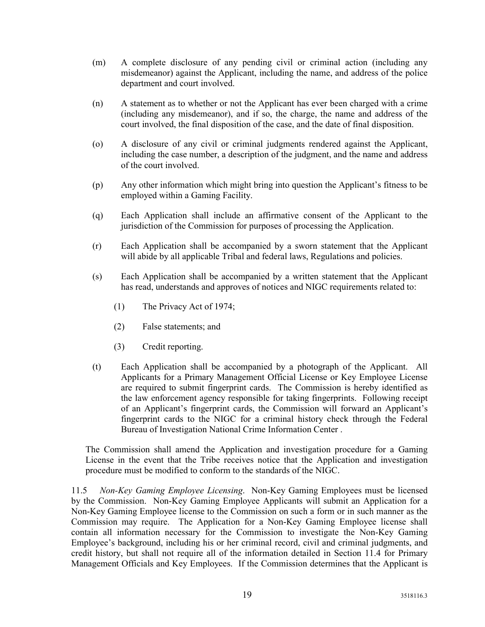- (m) A complete disclosure of any pending civil or criminal action (including any misdemeanor) against the Applicant, including the name, and address of the police department and court involved.
- (n) A statement as to whether or not the Applicant has ever been charged with a crime (including any misdemeanor), and if so, the charge, the name and address of the court involved, the final disposition of the case, and the date of final disposition.
- (o) A disclosure of any civil or criminal judgments rendered against the Applicant, including the case number, a description of the judgment, and the name and address of the court involved.
- (p) Any other information which might bring into question the Applicant's fitness to be employed within a Gaming Facility.
- (q) Each Application shall include an affirmative consent of the Applicant to the jurisdiction of the Commission for purposes of processing the Application.
- (r) Each Application shall be accompanied by a sworn statement that the Applicant will abide by all applicable Tribal and federal laws, Regulations and policies.
- (s) Each Application shall be accompanied by a written statement that the Applicant has read, understands and approves of notices and NIGC requirements related to:
	- (1) The Privacy Act of 1974;
	- (2) False statements; and
	- (3) Credit reporting.
- (t) Each Application shall be accompanied by a photograph of the Applicant. All Applicants for a Primary Management Official License or Key Employee License are required to submit fingerprint cards. The Commission is hereby identified as the law enforcement agency responsible for taking fingerprints. Following receipt of an Applicant's fingerprint cards, the Commission will forward an Applicant's fingerprint cards to the NIGC for a criminal history check through the Federal Bureau of Investigation National Crime Information Center .

The Commission shall amend the Application and investigation procedure for a Gaming License in the event that the Tribe receives notice that the Application and investigation procedure must be modified to conform to the standards of the NIGC.

11.5 Non-Key Gaming Employee Licensing. Non-Key Gaming Employees must be licensed by the Commission. Non-Key Gaming Employee Applicants will submit an Application for a Non-Key Gaming Employee license to the Commission on such a form or in such manner as the Commission may require. The Application for a Non-Key Gaming Employee license shall contain all information necessary for the Commission to investigate the Non-Key Gaming Employee's background, including his or her criminal record, civil and criminal judgments, and credit history, but shall not require all of the information detailed in Section 11.4 for Primary Management Officials and Key Employees. If the Commission determines that the Applicant is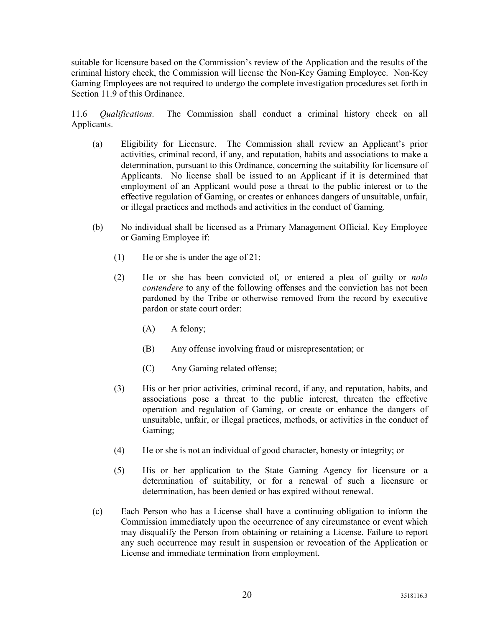suitable for licensure based on the Commission's review of the Application and the results of the criminal history check, the Commission will license the Non-Key Gaming Employee. Non-Key Gaming Employees are not required to undergo the complete investigation procedures set forth in Section 11.9 of this Ordinance.

11.6 Qualifications. The Commission shall conduct a criminal history check on all Applicants.

- (a) Eligibility for Licensure. The Commission shall review an Applicant's prior activities, criminal record, if any, and reputation, habits and associations to make a determination, pursuant to this Ordinance, concerning the suitability for licensure of Applicants. No license shall be issued to an Applicant if it is determined that employment of an Applicant would pose a threat to the public interest or to the effective regulation of Gaming, or creates or enhances dangers of unsuitable, unfair, or illegal practices and methods and activities in the conduct of Gaming.
- (b) No individual shall be licensed as a Primary Management Official, Key Employee or Gaming Employee if:
	- (1) He or she is under the age of 21;
	- (2) He or she has been convicted of, or entered a plea of guilty or nolo contendere to any of the following offenses and the conviction has not been pardoned by the Tribe or otherwise removed from the record by executive pardon or state court order:
		- (A) A felony;
		- (B) Any offense involving fraud or misrepresentation; or
		- (C) Any Gaming related offense;
	- (3) His or her prior activities, criminal record, if any, and reputation, habits, and associations pose a threat to the public interest, threaten the effective operation and regulation of Gaming, or create or enhance the dangers of unsuitable, unfair, or illegal practices, methods, or activities in the conduct of Gaming;
	- (4) He or she is not an individual of good character, honesty or integrity; or
	- (5) His or her application to the State Gaming Agency for licensure or a determination of suitability, or for a renewal of such a licensure or determination, has been denied or has expired without renewal.
- (c) Each Person who has a License shall have a continuing obligation to inform the Commission immediately upon the occurrence of any circumstance or event which may disqualify the Person from obtaining or retaining a License. Failure to report any such occurrence may result in suspension or revocation of the Application or License and immediate termination from employment.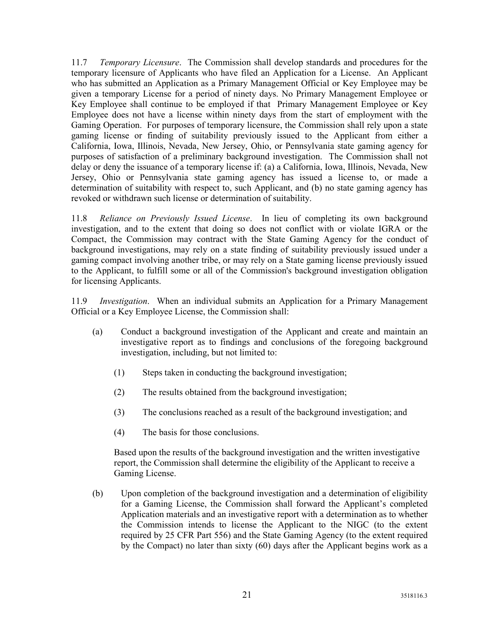11.7 Temporary Licensure. The Commission shall develop standards and procedures for the temporary licensure of Applicants who have filed an Application for a License. An Applicant who has submitted an Application as a Primary Management Official or Key Employee may be given a temporary License for a period of ninety days. No Primary Management Employee or Key Employee shall continue to be employed if that Primary Management Employee or Key Employee does not have a license within ninety days from the start of employment with the Gaming Operation. For purposes of temporary licensure, the Commission shall rely upon a state gaming license or finding of suitability previously issued to the Applicant from either a California, Iowa, Illinois, Nevada, New Jersey, Ohio, or Pennsylvania state gaming agency for purposes of satisfaction of a preliminary background investigation. The Commission shall not delay or deny the issuance of a temporary license if: (a) a California, Iowa, Illinois, Nevada, New Jersey, Ohio or Pennsylvania state gaming agency has issued a license to, or made a determination of suitability with respect to, such Applicant, and (b) no state gaming agency has revoked or withdrawn such license or determination of suitability.

11.8 Reliance on Previously Issued License. In lieu of completing its own background investigation, and to the extent that doing so does not conflict with or violate IGRA or the Compact, the Commission may contract with the State Gaming Agency for the conduct of background investigations, may rely on a state finding of suitability previously issued under a gaming compact involving another tribe, or may rely on a State gaming license previously issued to the Applicant, to fulfill some or all of the Commission's background investigation obligation for licensing Applicants.

11.9 Investigation. When an individual submits an Application for a Primary Management Official or a Key Employee License, the Commission shall:

- (a) Conduct a background investigation of the Applicant and create and maintain an investigative report as to findings and conclusions of the foregoing background investigation, including, but not limited to:
	- (1) Steps taken in conducting the background investigation;
	- (2) The results obtained from the background investigation;
	- (3) The conclusions reached as a result of the background investigation; and
	- (4) The basis for those conclusions.

Based upon the results of the background investigation and the written investigative report, the Commission shall determine the eligibility of the Applicant to receive a Gaming License.

(b) Upon completion of the background investigation and a determination of eligibility for a Gaming License, the Commission shall forward the Applicant's completed Application materials and an investigative report with a determination as to whether the Commission intends to license the Applicant to the NIGC (to the extent required by 25 CFR Part 556) and the State Gaming Agency (to the extent required by the Compact) no later than sixty (60) days after the Applicant begins work as a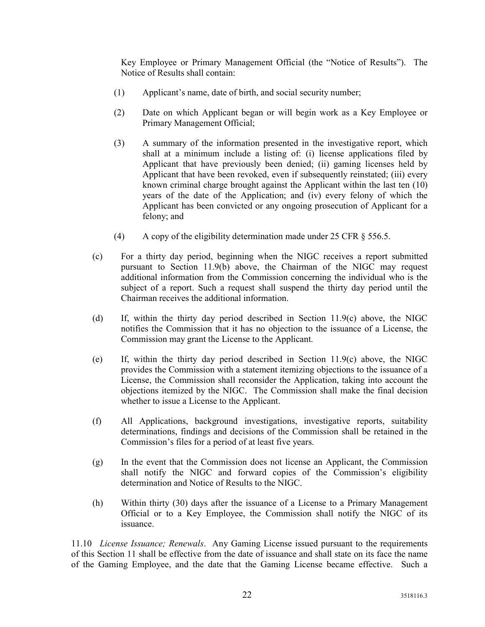Key Employee or Primary Management Official (the "Notice of Results"). The Notice of Results shall contain:

- (1) Applicant's name, date of birth, and social security number;
- (2) Date on which Applicant began or will begin work as a Key Employee or Primary Management Official;
- (3) A summary of the information presented in the investigative report, which shall at a minimum include a listing of: (i) license applications filed by Applicant that have previously been denied; (ii) gaming licenses held by Applicant that have been revoked, even if subsequently reinstated; (iii) every known criminal charge brought against the Applicant within the last ten (10) years of the date of the Application; and (iv) every felony of which the Applicant has been convicted or any ongoing prosecution of Applicant for a felony; and
- (4) A copy of the eligibility determination made under 25 CFR § 556.5.
- (c) For a thirty day period, beginning when the NIGC receives a report submitted pursuant to Section 11.9(b) above, the Chairman of the NIGC may request additional information from the Commission concerning the individual who is the subject of a report. Such a request shall suspend the thirty day period until the Chairman receives the additional information.
- (d) If, within the thirty day period described in Section 11.9(c) above, the NIGC notifies the Commission that it has no objection to the issuance of a License, the Commission may grant the License to the Applicant.
- (e) If, within the thirty day period described in Section 11.9(c) above, the NIGC provides the Commission with a statement itemizing objections to the issuance of a License, the Commission shall reconsider the Application, taking into account the objections itemized by the NIGC. The Commission shall make the final decision whether to issue a License to the Applicant.
- (f) All Applications, background investigations, investigative reports, suitability determinations, findings and decisions of the Commission shall be retained in the Commission's files for a period of at least five years.
- (g) In the event that the Commission does not license an Applicant, the Commission shall notify the NIGC and forward copies of the Commission's eligibility determination and Notice of Results to the NIGC.
- (h) Within thirty (30) days after the issuance of a License to a Primary Management Official or to a Key Employee, the Commission shall notify the NIGC of its issuance.

11.10 License Issuance; Renewals. Any Gaming License issued pursuant to the requirements of this Section 11 shall be effective from the date of issuance and shall state on its face the name of the Gaming Employee, and the date that the Gaming License became effective. Such a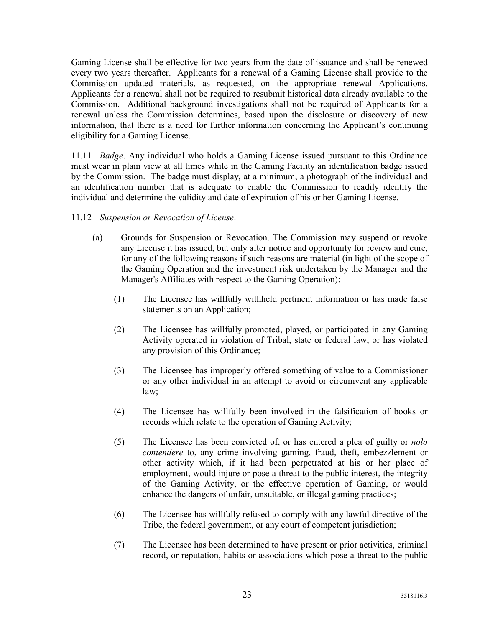Gaming License shall be effective for two years from the date of issuance and shall be renewed every two years thereafter. Applicants for a renewal of a Gaming License shall provide to the Commission updated materials, as requested, on the appropriate renewal Applications. Applicants for a renewal shall not be required to resubmit historical data already available to the Commission. Additional background investigations shall not be required of Applicants for a renewal unless the Commission determines, based upon the disclosure or discovery of new information, that there is a need for further information concerning the Applicant's continuing eligibility for a Gaming License.

11.11 *Badge*. Any individual who holds a Gaming License issued pursuant to this Ordinance must wear in plain view at all times while in the Gaming Facility an identification badge issued by the Commission. The badge must display, at a minimum, a photograph of the individual and an identification number that is adequate to enable the Commission to readily identify the individual and determine the validity and date of expiration of his or her Gaming License.

#### 11.12 Suspension or Revocation of License.

- (a) Grounds for Suspension or Revocation. The Commission may suspend or revoke any License it has issued, but only after notice and opportunity for review and cure, for any of the following reasons if such reasons are material (in light of the scope of the Gaming Operation and the investment risk undertaken by the Manager and the Manager's Affiliates with respect to the Gaming Operation):
	- (1) The Licensee has willfully withheld pertinent information or has made false statements on an Application;
	- (2) The Licensee has willfully promoted, played, or participated in any Gaming Activity operated in violation of Tribal, state or federal law, or has violated any provision of this Ordinance;
	- (3) The Licensee has improperly offered something of value to a Commissioner or any other individual in an attempt to avoid or circumvent any applicable law;
	- (4) The Licensee has willfully been involved in the falsification of books or records which relate to the operation of Gaming Activity;
	- (5) The Licensee has been convicted of, or has entered a plea of guilty or nolo contendere to, any crime involving gaming, fraud, theft, embezzlement or other activity which, if it had been perpetrated at his or her place of employment, would injure or pose a threat to the public interest, the integrity of the Gaming Activity, or the effective operation of Gaming, or would enhance the dangers of unfair, unsuitable, or illegal gaming practices;
	- (6) The Licensee has willfully refused to comply with any lawful directive of the Tribe, the federal government, or any court of competent jurisdiction;
	- (7) The Licensee has been determined to have present or prior activities, criminal record, or reputation, habits or associations which pose a threat to the public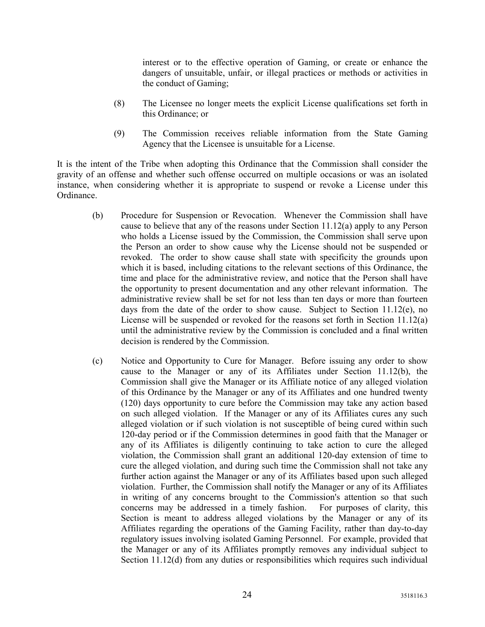interest or to the effective operation of Gaming, or create or enhance the dangers of unsuitable, unfair, or illegal practices or methods or activities in the conduct of Gaming;

- (8) The Licensee no longer meets the explicit License qualifications set forth in this Ordinance; or
- (9) The Commission receives reliable information from the State Gaming Agency that the Licensee is unsuitable for a License.

It is the intent of the Tribe when adopting this Ordinance that the Commission shall consider the gravity of an offense and whether such offense occurred on multiple occasions or was an isolated instance, when considering whether it is appropriate to suspend or revoke a License under this Ordinance.

- (b) Procedure for Suspension or Revocation. Whenever the Commission shall have cause to believe that any of the reasons under Section 11.12(a) apply to any Person who holds a License issued by the Commission, the Commission shall serve upon the Person an order to show cause why the License should not be suspended or revoked. The order to show cause shall state with specificity the grounds upon which it is based, including citations to the relevant sections of this Ordinance, the time and place for the administrative review, and notice that the Person shall have the opportunity to present documentation and any other relevant information. The administrative review shall be set for not less than ten days or more than fourteen days from the date of the order to show cause. Subject to Section 11.12(e), no License will be suspended or revoked for the reasons set forth in Section 11.12(a) until the administrative review by the Commission is concluded and a final written decision is rendered by the Commission.
- (c) Notice and Opportunity to Cure for Manager. Before issuing any order to show cause to the Manager or any of its Affiliates under Section 11.12(b), the Commission shall give the Manager or its Affiliate notice of any alleged violation of this Ordinance by the Manager or any of its Affiliates and one hundred twenty (120) days opportunity to cure before the Commission may take any action based on such alleged violation. If the Manager or any of its Affiliates cures any such alleged violation or if such violation is not susceptible of being cured within such 120-day period or if the Commission determines in good faith that the Manager or any of its Affiliates is diligently continuing to take action to cure the alleged violation, the Commission shall grant an additional 120-day extension of time to cure the alleged violation, and during such time the Commission shall not take any further action against the Manager or any of its Affiliates based upon such alleged violation. Further, the Commission shall notify the Manager or any of its Affiliates in writing of any concerns brought to the Commission's attention so that such concerns may be addressed in a timely fashion. For purposes of clarity, this Section is meant to address alleged violations by the Manager or any of its Affiliates regarding the operations of the Gaming Facility, rather than day-to-day regulatory issues involving isolated Gaming Personnel. For example, provided that the Manager or any of its Affiliates promptly removes any individual subject to Section 11.12(d) from any duties or responsibilities which requires such individual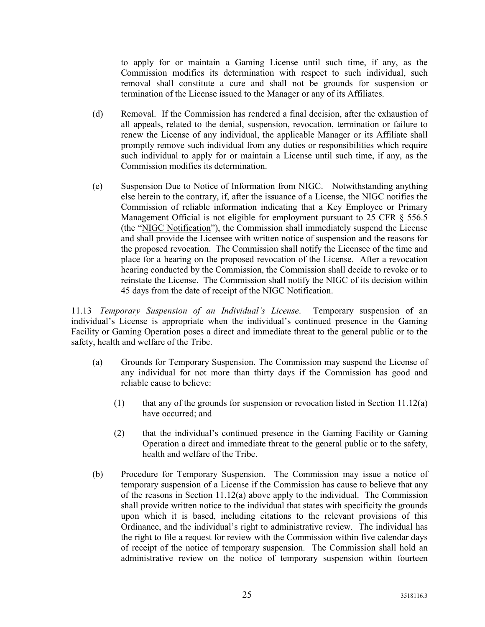to apply for or maintain a Gaming License until such time, if any, as the Commission modifies its determination with respect to such individual, such removal shall constitute a cure and shall not be grounds for suspension or termination of the License issued to the Manager or any of its Affiliates.

- (d) Removal. If the Commission has rendered a final decision, after the exhaustion of all appeals, related to the denial, suspension, revocation, termination or failure to renew the License of any individual, the applicable Manager or its Affiliate shall promptly remove such individual from any duties or responsibilities which require such individual to apply for or maintain a License until such time, if any, as the Commission modifies its determination.
- (e) Suspension Due to Notice of Information from NIGC. Notwithstanding anything else herein to the contrary, if, after the issuance of a License, the NIGC notifies the Commission of reliable information indicating that a Key Employee or Primary Management Official is not eligible for employment pursuant to 25 CFR § 556.5 (the "NIGC Notification"), the Commission shall immediately suspend the License and shall provide the Licensee with written notice of suspension and the reasons for the proposed revocation. The Commission shall notify the Licensee of the time and place for a hearing on the proposed revocation of the License. After a revocation hearing conducted by the Commission, the Commission shall decide to revoke or to reinstate the License. The Commission shall notify the NIGC of its decision within 45 days from the date of receipt of the NIGC Notification.

11.13 Temporary Suspension of an Individual's License. Temporary suspension of an individual's License is appropriate when the individual's continued presence in the Gaming Facility or Gaming Operation poses a direct and immediate threat to the general public or to the safety, health and welfare of the Tribe.

- (a) Grounds for Temporary Suspension. The Commission may suspend the License of any individual for not more than thirty days if the Commission has good and reliable cause to believe:
	- (1) that any of the grounds for suspension or revocation listed in Section 11.12(a) have occurred; and
	- (2) that the individual's continued presence in the Gaming Facility or Gaming Operation a direct and immediate threat to the general public or to the safety, health and welfare of the Tribe.
- (b) Procedure for Temporary Suspension. The Commission may issue a notice of temporary suspension of a License if the Commission has cause to believe that any of the reasons in Section  $11.12(a)$  above apply to the individual. The Commission shall provide written notice to the individual that states with specificity the grounds upon which it is based, including citations to the relevant provisions of this Ordinance, and the individual's right to administrative review. The individual has the right to file a request for review with the Commission within five calendar days of receipt of the notice of temporary suspension. The Commission shall hold an administrative review on the notice of temporary suspension within fourteen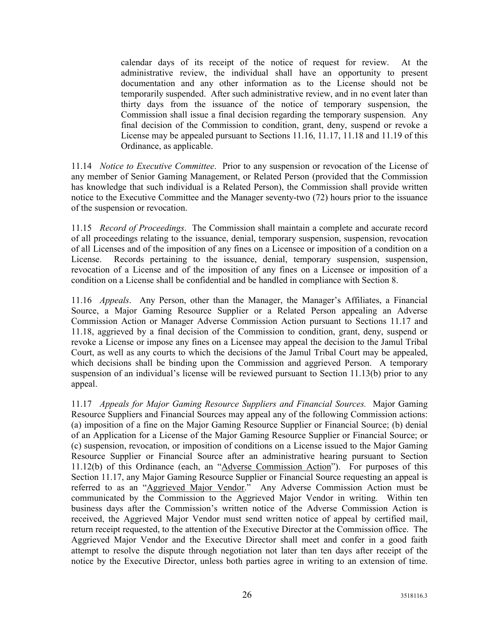calendar days of its receipt of the notice of request for review. At the administrative review, the individual shall have an opportunity to present documentation and any other information as to the License should not be temporarily suspended. After such administrative review, and in no event later than thirty days from the issuance of the notice of temporary suspension, the Commission shall issue a final decision regarding the temporary suspension. Any final decision of the Commission to condition, grant, deny, suspend or revoke a License may be appealed pursuant to Sections 11.16, 11.17, 11.18 and 11.19 of this Ordinance, as applicable.

11.14 Notice to Executive Committee. Prior to any suspension or revocation of the License of any member of Senior Gaming Management, or Related Person (provided that the Commission has knowledge that such individual is a Related Person), the Commission shall provide written notice to the Executive Committee and the Manager seventy-two (72) hours prior to the issuance of the suspension or revocation.

11.15 Record of Proceedings. The Commission shall maintain a complete and accurate record of all proceedings relating to the issuance, denial, temporary suspension, suspension, revocation of all Licenses and of the imposition of any fines on a Licensee or imposition of a condition on a License. Records pertaining to the issuance, denial, temporary suspension, suspension, revocation of a License and of the imposition of any fines on a Licensee or imposition of a condition on a License shall be confidential and be handled in compliance with Section 8.

11.16 Appeals. Any Person, other than the Manager, the Manager's Affiliates, a Financial Source, a Major Gaming Resource Supplier or a Related Person appealing an Adverse Commission Action or Manager Adverse Commission Action pursuant to Sections 11.17 and 11.18, aggrieved by a final decision of the Commission to condition, grant, deny, suspend or revoke a License or impose any fines on a Licensee may appeal the decision to the Jamul Tribal Court, as well as any courts to which the decisions of the Jamul Tribal Court may be appealed, which decisions shall be binding upon the Commission and aggrieved Person. A temporary suspension of an individual's license will be reviewed pursuant to Section 11.13(b) prior to any appeal.

11.17 Appeals for Major Gaming Resource Suppliers and Financial Sources. Major Gaming Resource Suppliers and Financial Sources may appeal any of the following Commission actions: (a) imposition of a fine on the Major Gaming Resource Supplier or Financial Source; (b) denial of an Application for a License of the Major Gaming Resource Supplier or Financial Source; or (c) suspension, revocation, or imposition of conditions on a License issued to the Major Gaming Resource Supplier or Financial Source after an administrative hearing pursuant to Section 11.12(b) of this Ordinance (each, an "Adverse Commission Action"). For purposes of this Section 11.17, any Major Gaming Resource Supplier or Financial Source requesting an appeal is referred to as an "Aggrieved Major Vendor." Any Adverse Commission Action must be communicated by the Commission to the Aggrieved Major Vendor in writing. Within ten business days after the Commission's written notice of the Adverse Commission Action is received, the Aggrieved Major Vendor must send written notice of appeal by certified mail, return receipt requested, to the attention of the Executive Director at the Commission office. The Aggrieved Major Vendor and the Executive Director shall meet and confer in a good faith attempt to resolve the dispute through negotiation not later than ten days after receipt of the notice by the Executive Director, unless both parties agree in writing to an extension of time.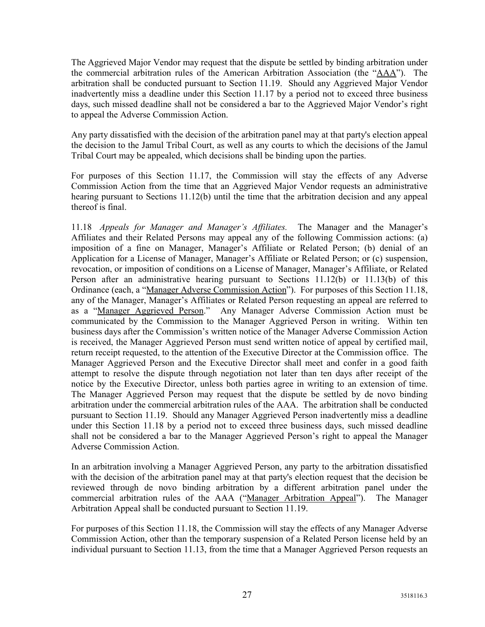The Aggrieved Major Vendor may request that the dispute be settled by binding arbitration under the commercial arbitration rules of the American Arbitration Association (the "AAA"). The arbitration shall be conducted pursuant to Section 11.19. Should any Aggrieved Major Vendor inadvertently miss a deadline under this Section 11.17 by a period not to exceed three business days, such missed deadline shall not be considered a bar to the Aggrieved Major Vendor's right to appeal the Adverse Commission Action.

Any party dissatisfied with the decision of the arbitration panel may at that party's election appeal the decision to the Jamul Tribal Court, as well as any courts to which the decisions of the Jamul Tribal Court may be appealed, which decisions shall be binding upon the parties.

For purposes of this Section 11.17, the Commission will stay the effects of any Adverse Commission Action from the time that an Aggrieved Major Vendor requests an administrative hearing pursuant to Sections 11.12(b) until the time that the arbitration decision and any appeal thereof is final.

11.18 Appeals for Manager and Manager's Affiliates. The Manager and the Manager's Affiliates and their Related Persons may appeal any of the following Commission actions: (a) imposition of a fine on Manager, Manager's Affiliate or Related Person; (b) denial of an Application for a License of Manager, Manager's Affiliate or Related Person; or (c) suspension, revocation, or imposition of conditions on a License of Manager, Manager's Affiliate, or Related Person after an administrative hearing pursuant to Sections 11.12(b) or 11.13(b) of this Ordinance (each, a "Manager Adverse Commission Action"). For purposes of this Section 11.18, any of the Manager, Manager's Affiliates or Related Person requesting an appeal are referred to as a "Manager Aggrieved Person." Any Manager Adverse Commission Action must be communicated by the Commission to the Manager Aggrieved Person in writing. Within ten business days after the Commission's written notice of the Manager Adverse Commission Action is received, the Manager Aggrieved Person must send written notice of appeal by certified mail, return receipt requested, to the attention of the Executive Director at the Commission office. The Manager Aggrieved Person and the Executive Director shall meet and confer in a good faith attempt to resolve the dispute through negotiation not later than ten days after receipt of the notice by the Executive Director, unless both parties agree in writing to an extension of time. The Manager Aggrieved Person may request that the dispute be settled by de novo binding arbitration under the commercial arbitration rules of the AAA. The arbitration shall be conducted pursuant to Section 11.19. Should any Manager Aggrieved Person inadvertently miss a deadline under this Section 11.18 by a period not to exceed three business days, such missed deadline shall not be considered a bar to the Manager Aggrieved Person's right to appeal the Manager Adverse Commission Action.

In an arbitration involving a Manager Aggrieved Person, any party to the arbitration dissatisfied with the decision of the arbitration panel may at that party's election request that the decision be reviewed through de novo binding arbitration by a different arbitration panel under the commercial arbitration rules of the AAA ("Manager Arbitration Appeal"). The Manager Arbitration Appeal shall be conducted pursuant to Section 11.19.

For purposes of this Section 11.18, the Commission will stay the effects of any Manager Adverse Commission Action, other than the temporary suspension of a Related Person license held by an individual pursuant to Section 11.13, from the time that a Manager Aggrieved Person requests an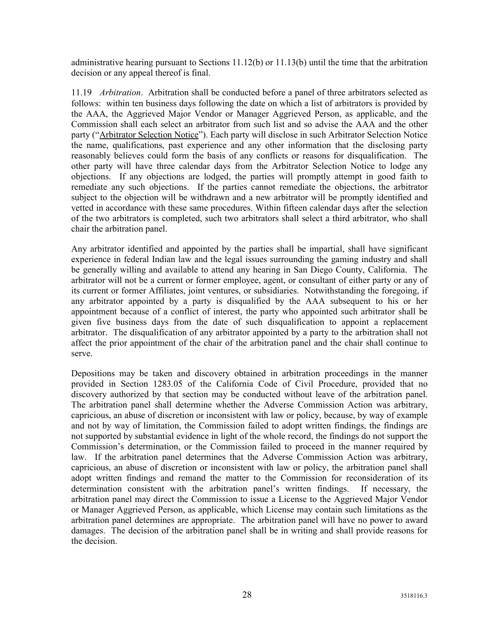administrative hearing pursuant to Sections 11.12(b) or 11.13(b) until the time that the arbitration decision or any appeal thereof is final.

11.19 *Arbitration*. Arbitration shall be conducted before a panel of three arbitrators selected as follows: within ten business days following the date on which a list of arbitrators is provided by the AAA, the Aggrieved Major Vendor or Manager Aggrieved Person, as applicable, and the Commission shall each select an arbitrator from such list and so advise the AAA and the other party ("Arbitrator Selection Notice"). Each party will disclose in such Arbitrator Selection Notice the name, qualifications, past experience and any other information that the disclosing party reasonably believes could form the basis of any conflicts or reasons for disqualification. The other party will have three calendar days from the Arbitrator Selection Notice to lodge any objections. If any objections are lodged, the parties will promptly attempt in good faith to remediate any such objections. If the parties cannot remediate the objections, the arbitrator subject to the objection will be withdrawn and a new arbitrator will be promptly identified and vetted in accordance with these same procedures. Within fifteen calendar days after the selection of the two arbitrators is completed, such two arbitrators shall select a third arbitrator, who shall chair the arbitration panel.

Any arbitrator identified and appointed by the parties shall be impartial, shall have significant experience in federal Indian law and the legal issues surrounding the gaming industry and shall be generally willing and available to attend any hearing in San Diego County, California. The arbitrator will not be a current or former employee, agent, or consultant of either party or any of its current or former Affiliates, joint ventures, or subsidiaries. Notwithstanding the foregoing, if any arbitrator appointed by a party is disqualified by the AAA subsequent to his or her appointment because of a conflict of interest, the party who appointed such arbitrator shall be given five business days from the date of such disqualification to appoint a replacement arbitrator. The disqualification of any arbitrator appointed by a party to the arbitration shall not affect the prior appointment of the chair of the arbitration panel and the chair shall continue to serve.

Depositions may be taken and discovery obtained in arbitration proceedings in the manner provided in Section 1283.05 of the California Code of Civil Procedure, provided that no discovery authorized by that section may be conducted without leave of the arbitration panel. The arbitration panel shall determine whether the Adverse Commission Action was arbitrary, capricious, an abuse of discretion or inconsistent with law or policy, because, by way of example and not by way of limitation, the Commission failed to adopt written findings, the findings are not supported by substantial evidence in light of the whole record, the findings do not support the Commission's determination, or the Commission failed to proceed in the manner required by law. If the arbitration panel determines that the Adverse Commission Action was arbitrary, capricious, an abuse of discretion or inconsistent with law or policy, the arbitration panel shall adopt written findings and remand the matter to the Commission for reconsideration of its determination consistent with the arbitration panel's written findings. If necessary, the arbitration panel may direct the Commission to issue a License to the Aggrieved Major Vendor or Manager Aggrieved Person, as applicable, which License may contain such limitations as the arbitration panel determines are appropriate. The arbitration panel will have no power to award damages. The decision of the arbitration panel shall be in writing and shall provide reasons for the decision.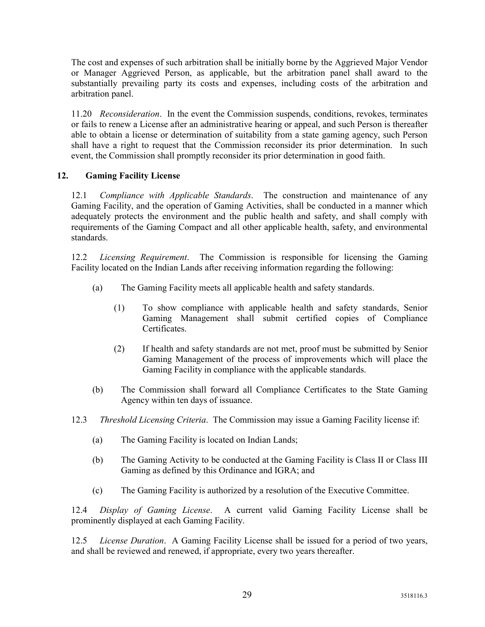The cost and expenses of such arbitration shall be initially borne by the Aggrieved Major Vendor or Manager Aggrieved Person, as applicable, but the arbitration panel shall award to the substantially prevailing party its costs and expenses, including costs of the arbitration and arbitration panel.

11.20 Reconsideration. In the event the Commission suspends, conditions, revokes, terminates or fails to renew a License after an administrative hearing or appeal, and such Person is thereafter able to obtain a license or determination of suitability from a state gaming agency, such Person shall have a right to request that the Commission reconsider its prior determination. In such event, the Commission shall promptly reconsider its prior determination in good faith.

#### 12. Gaming Facility License

12.1 Compliance with Applicable Standards. The construction and maintenance of any Gaming Facility, and the operation of Gaming Activities, shall be conducted in a manner which adequately protects the environment and the public health and safety, and shall comply with requirements of the Gaming Compact and all other applicable health, safety, and environmental standards.

12.2 Licensing Requirement. The Commission is responsible for licensing the Gaming Facility located on the Indian Lands after receiving information regarding the following:

- (a) The Gaming Facility meets all applicable health and safety standards.
	- (1) To show compliance with applicable health and safety standards, Senior Gaming Management shall submit certified copies of Compliance Certificates.
	- (2) If health and safety standards are not met, proof must be submitted by Senior Gaming Management of the process of improvements which will place the Gaming Facility in compliance with the applicable standards.
- (b) The Commission shall forward all Compliance Certificates to the State Gaming Agency within ten days of issuance.
- 12.3 Threshold Licensing Criteria. The Commission may issue a Gaming Facility license if:
	- (a) The Gaming Facility is located on Indian Lands;
	- (b) The Gaming Activity to be conducted at the Gaming Facility is Class II or Class III Gaming as defined by this Ordinance and IGRA; and
	- (c) The Gaming Facility is authorized by a resolution of the Executive Committee.

12.4 Display of Gaming License. A current valid Gaming Facility License shall be prominently displayed at each Gaming Facility.

12.5 License Duration. A Gaming Facility License shall be issued for a period of two years, and shall be reviewed and renewed, if appropriate, every two years thereafter.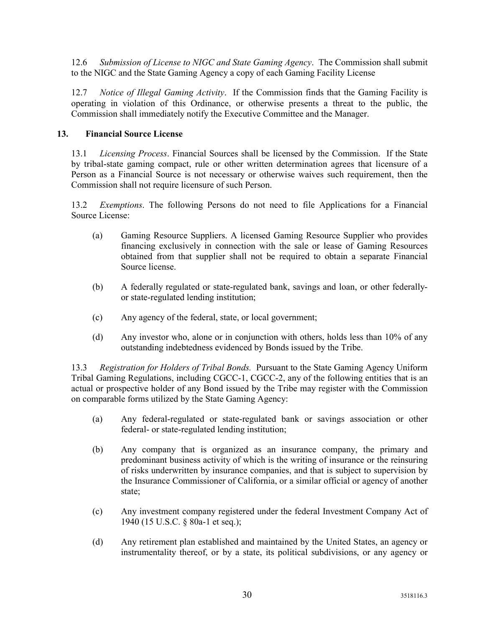12.6 Submission of License to NIGC and State Gaming Agency. The Commission shall submit to the NIGC and the State Gaming Agency a copy of each Gaming Facility License

12.7 *Notice of Illegal Gaming Activity*. If the Commission finds that the Gaming Facility is operating in violation of this Ordinance, or otherwise presents a threat to the public, the Commission shall immediately notify the Executive Committee and the Manager.

#### 13. Financial Source License

13.1 Licensing Process. Financial Sources shall be licensed by the Commission. If the State by tribal-state gaming compact, rule or other written determination agrees that licensure of a Person as a Financial Source is not necessary or otherwise waives such requirement, then the Commission shall not require licensure of such Person.

13.2 Exemptions. The following Persons do not need to file Applications for a Financial Source License:

- (a) Gaming Resource Suppliers. A licensed Gaming Resource Supplier who provides financing exclusively in connection with the sale or lease of Gaming Resources obtained from that supplier shall not be required to obtain a separate Financial Source license.
- (b) A federally regulated or state-regulated bank, savings and loan, or other federallyor state-regulated lending institution;
- (c) Any agency of the federal, state, or local government;
- (d) Any investor who, alone or in conjunction with others, holds less than 10% of any outstanding indebtedness evidenced by Bonds issued by the Tribe.

13.3 Registration for Holders of Tribal Bonds. Pursuant to the State Gaming Agency Uniform Tribal Gaming Regulations, including CGCC-1, CGCC-2, any of the following entities that is an actual or prospective holder of any Bond issued by the Tribe may register with the Commission on comparable forms utilized by the State Gaming Agency:

- (a) Any federal-regulated or state-regulated bank or savings association or other federal- or state-regulated lending institution;
- (b) Any company that is organized as an insurance company, the primary and predominant business activity of which is the writing of insurance or the reinsuring of risks underwritten by insurance companies, and that is subject to supervision by the Insurance Commissioner of California, or a similar official or agency of another state;
- (c) Any investment company registered under the federal Investment Company Act of 1940 (15 U.S.C. § 80a-1 et seq.);
- (d) Any retirement plan established and maintained by the United States, an agency or instrumentality thereof, or by a state, its political subdivisions, or any agency or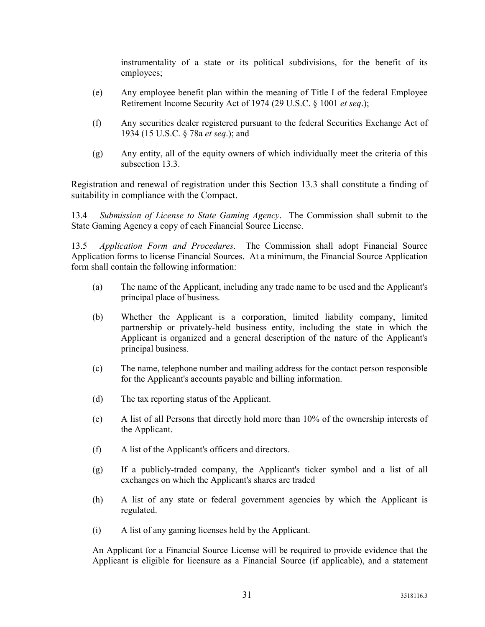instrumentality of a state or its political subdivisions, for the benefit of its employees;

- (e) Any employee benefit plan within the meaning of Title I of the federal Employee Retirement Income Security Act of 1974 (29 U.S.C. § 1001 *et seq.*);
- (f) Any securities dealer registered pursuant to the federal Securities Exchange Act of 1934 (15 U.S.C. § 78a et seq.); and
- (g) Any entity, all of the equity owners of which individually meet the criteria of this subsection 13.3.

Registration and renewal of registration under this Section 13.3 shall constitute a finding of suitability in compliance with the Compact.

13.4 Submission of License to State Gaming Agency. The Commission shall submit to the State Gaming Agency a copy of each Financial Source License.

13.5 Application Form and Procedures. The Commission shall adopt Financial Source Application forms to license Financial Sources. At a minimum, the Financial Source Application form shall contain the following information:

- (a) The name of the Applicant, including any trade name to be used and the Applicant's principal place of business.
- (b) Whether the Applicant is a corporation, limited liability company, limited partnership or privately-held business entity, including the state in which the Applicant is organized and a general description of the nature of the Applicant's principal business.
- (c) The name, telephone number and mailing address for the contact person responsible for the Applicant's accounts payable and billing information.
- (d) The tax reporting status of the Applicant.
- (e) A list of all Persons that directly hold more than 10% of the ownership interests of the Applicant.
- (f) A list of the Applicant's officers and directors.
- (g) If a publicly-traded company, the Applicant's ticker symbol and a list of all exchanges on which the Applicant's shares are traded
- (h) A list of any state or federal government agencies by which the Applicant is regulated.
- (i) A list of any gaming licenses held by the Applicant.

An Applicant for a Financial Source License will be required to provide evidence that the Applicant is eligible for licensure as a Financial Source (if applicable), and a statement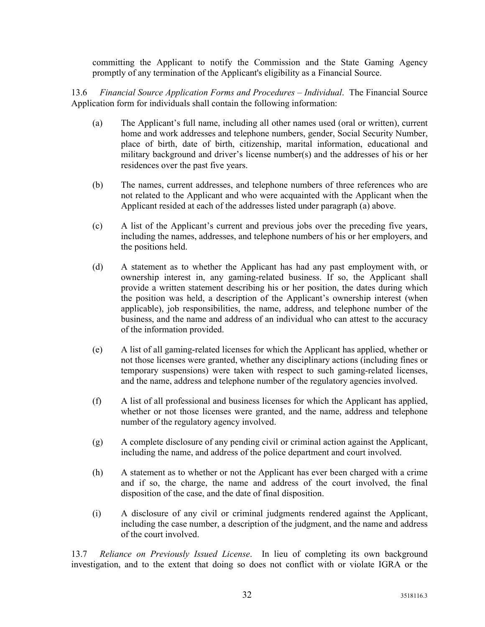committing the Applicant to notify the Commission and the State Gaming Agency promptly of any termination of the Applicant's eligibility as a Financial Source.

13.6 Financial Source Application Forms and Procedures – Individual. The Financial Source Application form for individuals shall contain the following information:

- (a) The Applicant's full name, including all other names used (oral or written), current home and work addresses and telephone numbers, gender, Social Security Number, place of birth, date of birth, citizenship, marital information, educational and military background and driver's license number(s) and the addresses of his or her residences over the past five years.
- (b) The names, current addresses, and telephone numbers of three references who are not related to the Applicant and who were acquainted with the Applicant when the Applicant resided at each of the addresses listed under paragraph (a) above.
- (c) A list of the Applicant's current and previous jobs over the preceding five years, including the names, addresses, and telephone numbers of his or her employers, and the positions held.
- (d) A statement as to whether the Applicant has had any past employment with, or ownership interest in, any gaming-related business. If so, the Applicant shall provide a written statement describing his or her position, the dates during which the position was held, a description of the Applicant's ownership interest (when applicable), job responsibilities, the name, address, and telephone number of the business, and the name and address of an individual who can attest to the accuracy of the information provided.
- (e) A list of all gaming-related licenses for which the Applicant has applied, whether or not those licenses were granted, whether any disciplinary actions (including fines or temporary suspensions) were taken with respect to such gaming-related licenses, and the name, address and telephone number of the regulatory agencies involved.
- (f) A list of all professional and business licenses for which the Applicant has applied, whether or not those licenses were granted, and the name, address and telephone number of the regulatory agency involved.
- (g) A complete disclosure of any pending civil or criminal action against the Applicant, including the name, and address of the police department and court involved.
- (h) A statement as to whether or not the Applicant has ever been charged with a crime and if so, the charge, the name and address of the court involved, the final disposition of the case, and the date of final disposition.
- (i) A disclosure of any civil or criminal judgments rendered against the Applicant, including the case number, a description of the judgment, and the name and address of the court involved.

13.7 Reliance on Previously Issued License. In lieu of completing its own background investigation, and to the extent that doing so does not conflict with or violate IGRA or the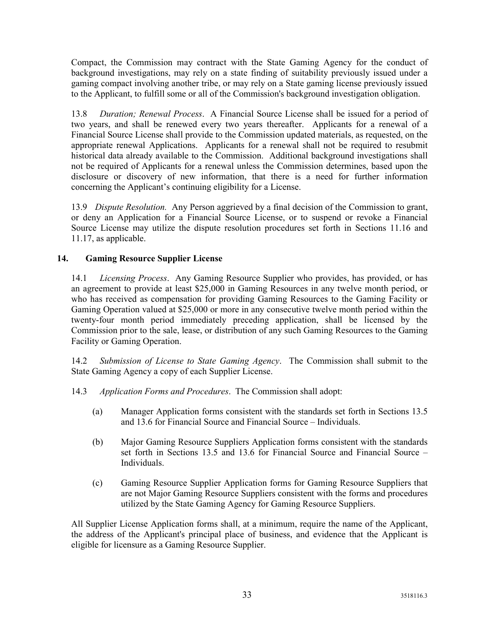Compact, the Commission may contract with the State Gaming Agency for the conduct of background investigations, may rely on a state finding of suitability previously issued under a gaming compact involving another tribe, or may rely on a State gaming license previously issued to the Applicant, to fulfill some or all of the Commission's background investigation obligation.

13.8 Duration; Renewal Process. A Financial Source License shall be issued for a period of two years, and shall be renewed every two years thereafter. Applicants for a renewal of a Financial Source License shall provide to the Commission updated materials, as requested, on the appropriate renewal Applications. Applicants for a renewal shall not be required to resubmit historical data already available to the Commission. Additional background investigations shall not be required of Applicants for a renewal unless the Commission determines, based upon the disclosure or discovery of new information, that there is a need for further information concerning the Applicant's continuing eligibility for a License.

13.9 Dispute Resolution. Any Person aggrieved by a final decision of the Commission to grant, or deny an Application for a Financial Source License, or to suspend or revoke a Financial Source License may utilize the dispute resolution procedures set forth in Sections 11.16 and 11.17, as applicable.

#### 14. Gaming Resource Supplier License

14.1 Licensing Process. Any Gaming Resource Supplier who provides, has provided, or has an agreement to provide at least \$25,000 in Gaming Resources in any twelve month period, or who has received as compensation for providing Gaming Resources to the Gaming Facility or Gaming Operation valued at \$25,000 or more in any consecutive twelve month period within the twenty-four month period immediately preceding application, shall be licensed by the Commission prior to the sale, lease, or distribution of any such Gaming Resources to the Gaming Facility or Gaming Operation.

14.2 Submission of License to State Gaming Agency. The Commission shall submit to the State Gaming Agency a copy of each Supplier License.

- 14.3 Application Forms and Procedures. The Commission shall adopt:
	- (a) Manager Application forms consistent with the standards set forth in Sections 13.5 and 13.6 for Financial Source and Financial Source – Individuals.
	- (b) Major Gaming Resource Suppliers Application forms consistent with the standards set forth in Sections 13.5 and 13.6 for Financial Source and Financial Source – Individuals.
	- (c) Gaming Resource Supplier Application forms for Gaming Resource Suppliers that are not Major Gaming Resource Suppliers consistent with the forms and procedures utilized by the State Gaming Agency for Gaming Resource Suppliers.

All Supplier License Application forms shall, at a minimum, require the name of the Applicant, the address of the Applicant's principal place of business, and evidence that the Applicant is eligible for licensure as a Gaming Resource Supplier.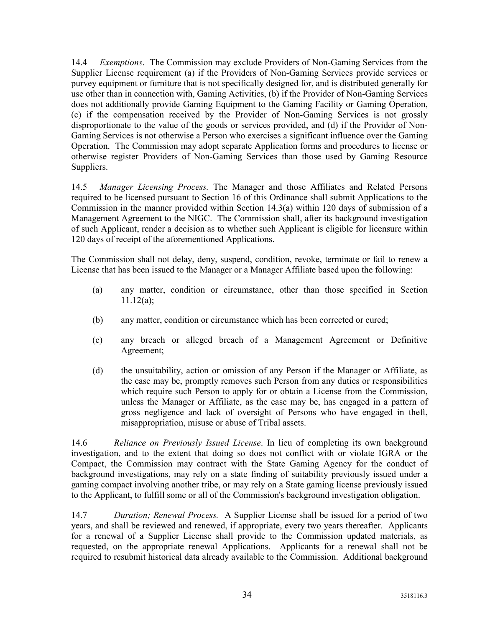14.4 Exemptions. The Commission may exclude Providers of Non-Gaming Services from the Supplier License requirement (a) if the Providers of Non-Gaming Services provide services or purvey equipment or furniture that is not specifically designed for, and is distributed generally for use other than in connection with, Gaming Activities, (b) if the Provider of Non-Gaming Services does not additionally provide Gaming Equipment to the Gaming Facility or Gaming Operation, (c) if the compensation received by the Provider of Non-Gaming Services is not grossly disproportionate to the value of the goods or services provided, and (d) if the Provider of Non-Gaming Services is not otherwise a Person who exercises a significant influence over the Gaming Operation. The Commission may adopt separate Application forms and procedures to license or otherwise register Providers of Non-Gaming Services than those used by Gaming Resource Suppliers.

14.5 Manager Licensing Process. The Manager and those Affiliates and Related Persons required to be licensed pursuant to Section 16 of this Ordinance shall submit Applications to the Commission in the manner provided within Section 14.3(a) within 120 days of submission of a Management Agreement to the NIGC. The Commission shall, after its background investigation of such Applicant, render a decision as to whether such Applicant is eligible for licensure within 120 days of receipt of the aforementioned Applications.

The Commission shall not delay, deny, suspend, condition, revoke, terminate or fail to renew a License that has been issued to the Manager or a Manager Affiliate based upon the following:

- (a) any matter, condition or circumstance, other than those specified in Section 11.12(a);
- (b) any matter, condition or circumstance which has been corrected or cured;
- (c) any breach or alleged breach of a Management Agreement or Definitive Agreement;
- (d) the unsuitability, action or omission of any Person if the Manager or Affiliate, as the case may be, promptly removes such Person from any duties or responsibilities which require such Person to apply for or obtain a License from the Commission, unless the Manager or Affiliate, as the case may be, has engaged in a pattern of gross negligence and lack of oversight of Persons who have engaged in theft, misappropriation, misuse or abuse of Tribal assets.

14.6 Reliance on Previously Issued License. In lieu of completing its own background investigation, and to the extent that doing so does not conflict with or violate IGRA or the Compact, the Commission may contract with the State Gaming Agency for the conduct of background investigations, may rely on a state finding of suitability previously issued under a gaming compact involving another tribe, or may rely on a State gaming license previously issued to the Applicant, to fulfill some or all of the Commission's background investigation obligation.

14.7 Duration; Renewal Process. A Supplier License shall be issued for a period of two years, and shall be reviewed and renewed, if appropriate, every two years thereafter. Applicants for a renewal of a Supplier License shall provide to the Commission updated materials, as requested, on the appropriate renewal Applications. Applicants for a renewal shall not be required to resubmit historical data already available to the Commission. Additional background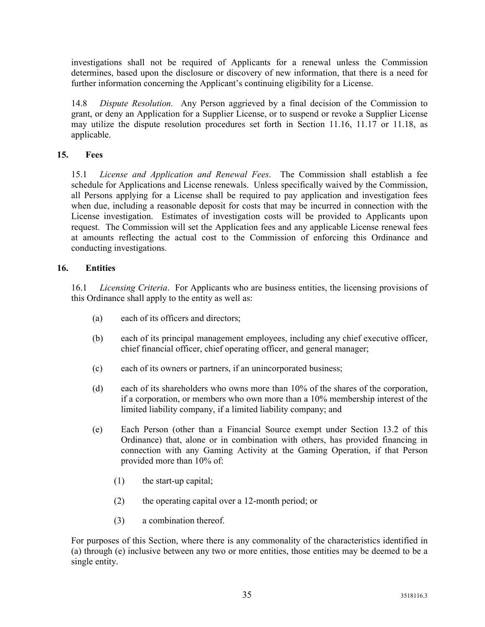investigations shall not be required of Applicants for a renewal unless the Commission determines, based upon the disclosure or discovery of new information, that there is a need for further information concerning the Applicant's continuing eligibility for a License.

14.8 Dispute Resolution. Any Person aggrieved by a final decision of the Commission to grant, or deny an Application for a Supplier License, or to suspend or revoke a Supplier License may utilize the dispute resolution procedures set forth in Section 11.16, 11.17 or 11.18, as applicable.

#### 15. Fees

15.1 License and Application and Renewal Fees. The Commission shall establish a fee schedule for Applications and License renewals. Unless specifically waived by the Commission, all Persons applying for a License shall be required to pay application and investigation fees when due, including a reasonable deposit for costs that may be incurred in connection with the License investigation. Estimates of investigation costs will be provided to Applicants upon request. The Commission will set the Application fees and any applicable License renewal fees at amounts reflecting the actual cost to the Commission of enforcing this Ordinance and conducting investigations.

#### 16. Entities

16.1 Licensing Criteria. For Applicants who are business entities, the licensing provisions of this Ordinance shall apply to the entity as well as:

- (a) each of its officers and directors;
- (b) each of its principal management employees, including any chief executive officer, chief financial officer, chief operating officer, and general manager;
- (c) each of its owners or partners, if an unincorporated business;
- (d) each of its shareholders who owns more than 10% of the shares of the corporation, if a corporation, or members who own more than a 10% membership interest of the limited liability company, if a limited liability company; and
- (e) Each Person (other than a Financial Source exempt under Section 13.2 of this Ordinance) that, alone or in combination with others, has provided financing in connection with any Gaming Activity at the Gaming Operation, if that Person provided more than 10% of:
	- (1) the start-up capital;
	- (2) the operating capital over a 12-month period; or
	- (3) a combination thereof.

For purposes of this Section, where there is any commonality of the characteristics identified in (a) through (e) inclusive between any two or more entities, those entities may be deemed to be a single entity.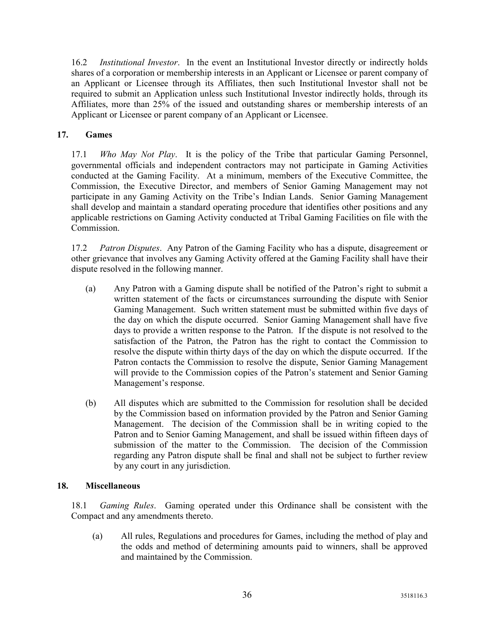16.2 Institutional Investor. In the event an Institutional Investor directly or indirectly holds shares of a corporation or membership interests in an Applicant or Licensee or parent company of an Applicant or Licensee through its Affiliates, then such Institutional Investor shall not be required to submit an Application unless such Institutional Investor indirectly holds, through its Affiliates, more than 25% of the issued and outstanding shares or membership interests of an Applicant or Licensee or parent company of an Applicant or Licensee.

#### 17. Games

17.1 Who May Not Play. It is the policy of the Tribe that particular Gaming Personnel, governmental officials and independent contractors may not participate in Gaming Activities conducted at the Gaming Facility. At a minimum, members of the Executive Committee, the Commission, the Executive Director, and members of Senior Gaming Management may not participate in any Gaming Activity on the Tribe's Indian Lands. Senior Gaming Management shall develop and maintain a standard operating procedure that identifies other positions and any applicable restrictions on Gaming Activity conducted at Tribal Gaming Facilities on file with the Commission.

17.2 Patron Disputes. Any Patron of the Gaming Facility who has a dispute, disagreement or other grievance that involves any Gaming Activity offered at the Gaming Facility shall have their dispute resolved in the following manner.

- (a) Any Patron with a Gaming dispute shall be notified of the Patron's right to submit a written statement of the facts or circumstances surrounding the dispute with Senior Gaming Management. Such written statement must be submitted within five days of the day on which the dispute occurred. Senior Gaming Management shall have five days to provide a written response to the Patron. If the dispute is not resolved to the satisfaction of the Patron, the Patron has the right to contact the Commission to resolve the dispute within thirty days of the day on which the dispute occurred. If the Patron contacts the Commission to resolve the dispute, Senior Gaming Management will provide to the Commission copies of the Patron's statement and Senior Gaming Management's response.
- (b) All disputes which are submitted to the Commission for resolution shall be decided by the Commission based on information provided by the Patron and Senior Gaming Management. The decision of the Commission shall be in writing copied to the Patron and to Senior Gaming Management, and shall be issued within fifteen days of submission of the matter to the Commission. The decision of the Commission regarding any Patron dispute shall be final and shall not be subject to further review by any court in any jurisdiction.

#### 18. Miscellaneous

18.1 Gaming Rules. Gaming operated under this Ordinance shall be consistent with the Compact and any amendments thereto.

(a) All rules, Regulations and procedures for Games, including the method of play and the odds and method of determining amounts paid to winners, shall be approved and maintained by the Commission.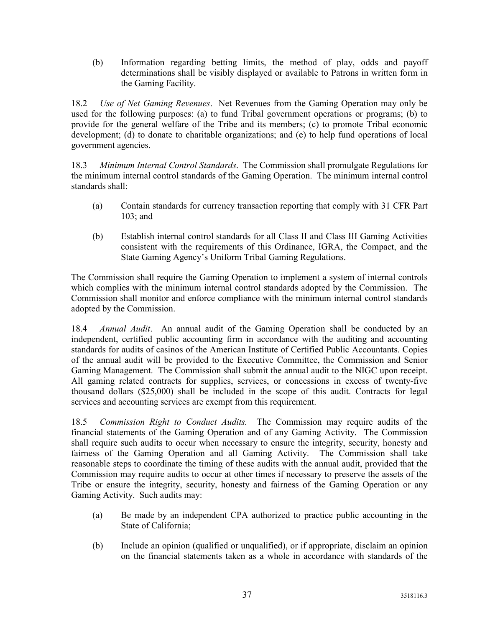(b) Information regarding betting limits, the method of play, odds and payoff determinations shall be visibly displayed or available to Patrons in written form in the Gaming Facility.

18.2 Use of Net Gaming Revenues. Net Revenues from the Gaming Operation may only be used for the following purposes: (a) to fund Tribal government operations or programs; (b) to provide for the general welfare of the Tribe and its members; (c) to promote Tribal economic development; (d) to donate to charitable organizations; and (e) to help fund operations of local government agencies.

18.3 Minimum Internal Control Standards. The Commission shall promulgate Regulations for the minimum internal control standards of the Gaming Operation. The minimum internal control standards shall:

- (a) Contain standards for currency transaction reporting that comply with 31 CFR Part 103; and
- (b) Establish internal control standards for all Class II and Class III Gaming Activities consistent with the requirements of this Ordinance, IGRA, the Compact, and the State Gaming Agency's Uniform Tribal Gaming Regulations.

The Commission shall require the Gaming Operation to implement a system of internal controls which complies with the minimum internal control standards adopted by the Commission. The Commission shall monitor and enforce compliance with the minimum internal control standards adopted by the Commission.

18.4 Annual Audit. An annual audit of the Gaming Operation shall be conducted by an independent, certified public accounting firm in accordance with the auditing and accounting standards for audits of casinos of the American Institute of Certified Public Accountants. Copies of the annual audit will be provided to the Executive Committee, the Commission and Senior Gaming Management. The Commission shall submit the annual audit to the NIGC upon receipt. All gaming related contracts for supplies, services, or concessions in excess of twenty-five thousand dollars (\$25,000) shall be included in the scope of this audit. Contracts for legal services and accounting services are exempt from this requirement.

18.5 Commission Right to Conduct Audits. The Commission may require audits of the financial statements of the Gaming Operation and of any Gaming Activity. The Commission shall require such audits to occur when necessary to ensure the integrity, security, honesty and fairness of the Gaming Operation and all Gaming Activity. The Commission shall take reasonable steps to coordinate the timing of these audits with the annual audit, provided that the Commission may require audits to occur at other times if necessary to preserve the assets of the Tribe or ensure the integrity, security, honesty and fairness of the Gaming Operation or any Gaming Activity. Such audits may:

- (a) Be made by an independent CPA authorized to practice public accounting in the State of California;
- (b) Include an opinion (qualified or unqualified), or if appropriate, disclaim an opinion on the financial statements taken as a whole in accordance with standards of the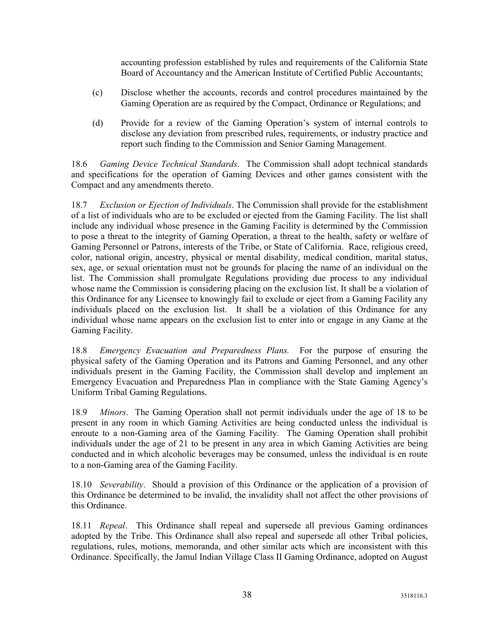accounting profession established by rules and requirements of the California State Board of Accountancy and the American Institute of Certified Public Accountants;

- (c) Disclose whether the accounts, records and control procedures maintained by the Gaming Operation are as required by the Compact, Ordinance or Regulations; and
- (d) Provide for a review of the Gaming Operation's system of internal controls to disclose any deviation from prescribed rules, requirements, or industry practice and report such finding to the Commission and Senior Gaming Management.

18.6 Gaming Device Technical Standards. The Commission shall adopt technical standards and specifications for the operation of Gaming Devices and other games consistent with the Compact and any amendments thereto.

18.7 Exclusion or Ejection of Individuals. The Commission shall provide for the establishment of a list of individuals who are to be excluded or ejected from the Gaming Facility. The list shall include any individual whose presence in the Gaming Facility is determined by the Commission to pose a threat to the integrity of Gaming Operation, a threat to the health, safety or welfare of Gaming Personnel or Patrons, interests of the Tribe, or State of California. Race, religious creed, color, national origin, ancestry, physical or mental disability, medical condition, marital status, sex, age, or sexual orientation must not be grounds for placing the name of an individual on the list. The Commission shall promulgate Regulations providing due process to any individual whose name the Commission is considering placing on the exclusion list. It shall be a violation of this Ordinance for any Licensee to knowingly fail to exclude or eject from a Gaming Facility any individuals placed on the exclusion list. It shall be a violation of this Ordinance for any individual whose name appears on the exclusion list to enter into or engage in any Game at the Gaming Facility.

18.8 Emergency Evacuation and Preparedness Plans. For the purpose of ensuring the physical safety of the Gaming Operation and its Patrons and Gaming Personnel, and any other individuals present in the Gaming Facility, the Commission shall develop and implement an Emergency Evacuation and Preparedness Plan in compliance with the State Gaming Agency's Uniform Tribal Gaming Regulations.

18.9 Minors. The Gaming Operation shall not permit individuals under the age of 18 to be present in any room in which Gaming Activities are being conducted unless the individual is enroute to a non-Gaming area of the Gaming Facility. The Gaming Operation shall prohibit individuals under the age of 21 to be present in any area in which Gaming Activities are being conducted and in which alcoholic beverages may be consumed, unless the individual is en route to a non-Gaming area of the Gaming Facility.

18.10 Severability. Should a provision of this Ordinance or the application of a provision of this Ordinance be determined to be invalid, the invalidity shall not affect the other provisions of this Ordinance.

18.11 Repeal. This Ordinance shall repeal and supersede all previous Gaming ordinances adopted by the Tribe. This Ordinance shall also repeal and supersede all other Tribal policies, regulations, rules, motions, memoranda, and other similar acts which are inconsistent with this Ordinance. Specifically, the Jamul Indian Village Class II Gaming Ordinance, adopted on August